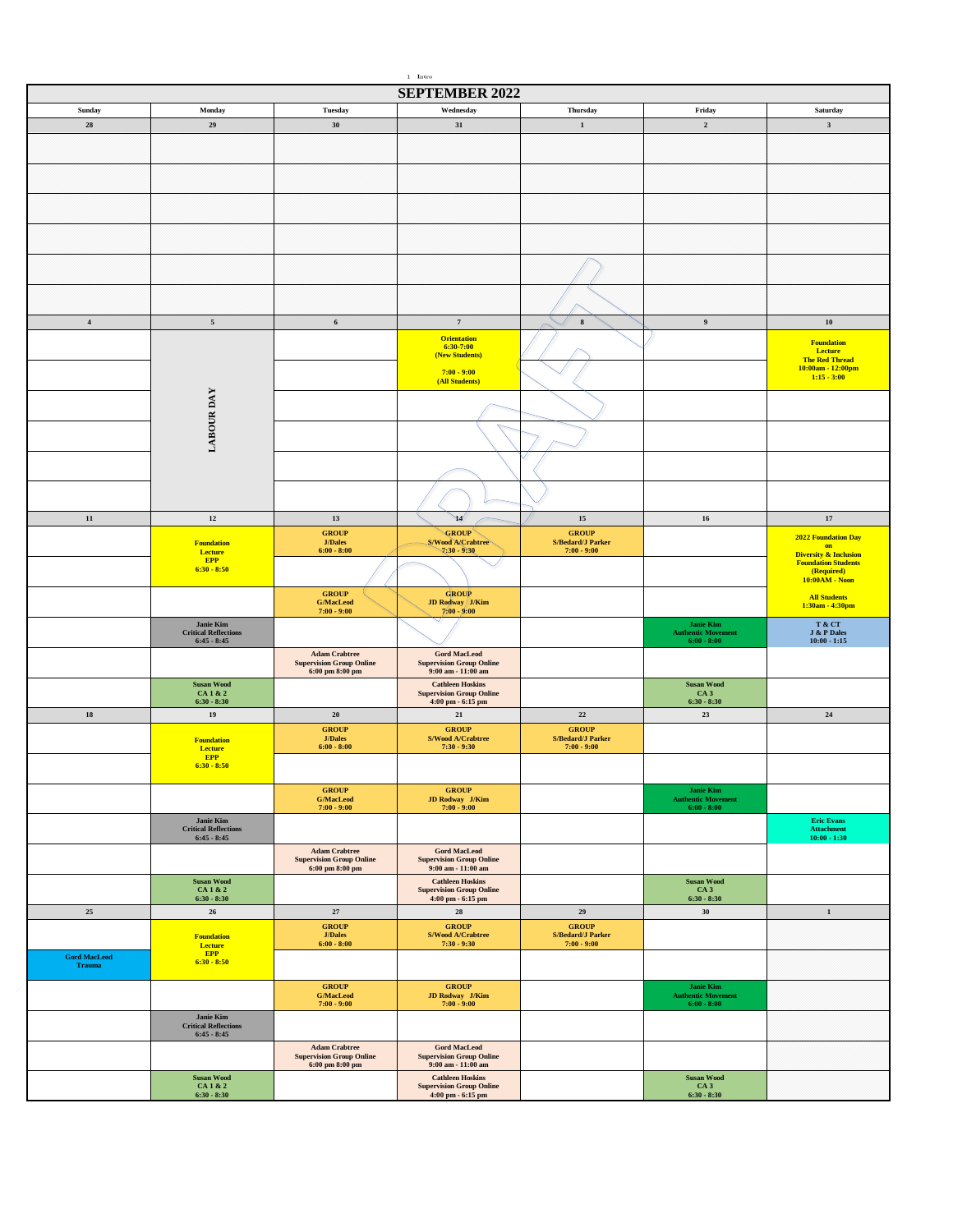| $1\quad$ Intro                       |                                                 |                                                         |                                                                                               |                                                     |                                               |                                            |  |
|--------------------------------------|-------------------------------------------------|---------------------------------------------------------|-----------------------------------------------------------------------------------------------|-----------------------------------------------------|-----------------------------------------------|--------------------------------------------|--|
|                                      |                                                 |                                                         | <b>SEPTEMBER 2022</b>                                                                         |                                                     |                                               |                                            |  |
| Sunday                               | Monday                                          | <b>Tuesday</b>                                          | Wednesday                                                                                     | Thursday                                            | Friday                                        | Saturday                                   |  |
| 28                                   | $\bf 29$                                        | 30                                                      | 31                                                                                            | $\mathbf 1$                                         | $\mathbf 2$                                   | $\mathbf{3}$                               |  |
|                                      |                                                 |                                                         |                                                                                               |                                                     |                                               |                                            |  |
|                                      |                                                 |                                                         |                                                                                               |                                                     |                                               |                                            |  |
|                                      |                                                 |                                                         |                                                                                               |                                                     |                                               |                                            |  |
|                                      |                                                 |                                                         |                                                                                               |                                                     |                                               |                                            |  |
|                                      |                                                 |                                                         |                                                                                               |                                                     |                                               |                                            |  |
|                                      |                                                 |                                                         |                                                                                               |                                                     |                                               |                                            |  |
|                                      |                                                 |                                                         |                                                                                               |                                                     |                                               |                                            |  |
|                                      |                                                 |                                                         |                                                                                               |                                                     |                                               |                                            |  |
|                                      |                                                 |                                                         |                                                                                               |                                                     |                                               |                                            |  |
|                                      |                                                 |                                                         |                                                                                               |                                                     |                                               |                                            |  |
| $\boldsymbol{4}$                     | $\sqrt{5}$                                      | $\bf 6$                                                 | $\scriptstyle\rm 7$                                                                           | $\bf8$                                              | $\boldsymbol{9}$                              | ${\bf 10}$                                 |  |
|                                      |                                                 |                                                         | <b>Orientation</b>                                                                            |                                                     |                                               |                                            |  |
|                                      |                                                 |                                                         | 6:30-7:00<br>(New Students)                                                                   |                                                     |                                               | <b>Foundation</b><br>Lecture               |  |
|                                      |                                                 |                                                         | $7:00 - 9:00$                                                                                 |                                                     |                                               | <b>The Red Thread</b><br>10:00am - 12:00pm |  |
|                                      |                                                 |                                                         | (All Students)                                                                                |                                                     |                                               | $1:15 - 3:00$                              |  |
|                                      | <b>LABOUR DAY</b>                               |                                                         |                                                                                               |                                                     |                                               |                                            |  |
|                                      |                                                 |                                                         |                                                                                               |                                                     |                                               |                                            |  |
|                                      |                                                 |                                                         |                                                                                               |                                                     |                                               |                                            |  |
|                                      |                                                 |                                                         |                                                                                               |                                                     |                                               |                                            |  |
|                                      |                                                 |                                                         |                                                                                               |                                                     |                                               |                                            |  |
|                                      |                                                 |                                                         |                                                                                               |                                                     |                                               |                                            |  |
|                                      |                                                 |                                                         |                                                                                               |                                                     |                                               |                                            |  |
| ${\bf 11}$                           | $12\,$                                          | 13                                                      | W                                                                                             | $15\,$                                              | 16                                            | $17\,$                                     |  |
|                                      |                                                 | <b>GROUP</b>                                            | <b>GROUP</b>                                                                                  | <b>GROUP</b>                                        |                                               | 2022 Foundation Day                        |  |
|                                      | <b>Foundation</b><br>Lecture                    | <b>J/Dales</b><br>$6:00 - 8:00$                         | <b>S/Wood A/Crabtree</b><br>$7.30 - 9.30$                                                     | <b>S/Bedard/J Parker</b><br>$7:00 - 9:00$           |                                               | on<br><b>Diversity &amp; Inclusion</b>     |  |
|                                      | <b>EPP</b><br>$6:30 - 8:50$                     |                                                         |                                                                                               |                                                     |                                               | <b>Foundation Students</b><br>(Required)   |  |
|                                      |                                                 |                                                         |                                                                                               |                                                     |                                               | 10:00AM - Noon                             |  |
|                                      |                                                 | <b>GROUP</b><br><b>G/MacLeod</b>                        | <b>GROUP</b><br>JD Rodway J/Kim                                                               |                                                     |                                               | <b>All Students</b><br>1:30am - 4:30pm     |  |
|                                      | Janie Kim                                       | $7:00 - 9:00$                                           | $7:00 - 9:00$                                                                                 |                                                     | Janie Kim                                     | T & CT                                     |  |
|                                      | <b>Critical Reflections</b><br>$6:45 - 8:45$    |                                                         |                                                                                               |                                                     | <b>Authentic Movement</b><br>$6:00 - 8:00$    | J & P Dales<br>$10:00 - 1:15$              |  |
|                                      |                                                 | <b>Adam Crabtree</b>                                    | <b>Gord MacLeod</b>                                                                           |                                                     |                                               |                                            |  |
|                                      |                                                 | <b>Supervision Group Online</b><br>6:00 pm 8:00 pm      | <b>Supervision Group Online</b><br>$9:00$ am - $11:00$ am                                     |                                                     |                                               |                                            |  |
|                                      | <b>Susan Wood</b>                               |                                                         | <b>Cathleen Hoskins</b>                                                                       |                                                     | <b>Susan Wood</b>                             |                                            |  |
|                                      | CA 1 & 2<br>$6:30 - 8:30$                       |                                                         | <b>Supervision Group Online</b><br>4:00 pm - 6:15 pm                                          |                                                     | CA <sub>3</sub><br>$6:30 - 8:30$              |                                            |  |
| ${\bf 18}$                           | 19                                              | ${\bf 20}$                                              | $\bf{21}$                                                                                     | $\bf 22$                                            | 23                                            | ${\bf 24}$                                 |  |
|                                      | <b>Foundation</b>                               | <b>GROUP</b><br><b>J/Dales</b>                          | <b>GROUP</b><br>S/Wood A/Crabtree                                                             | <b>GROUP</b><br><b>S/Bedard/J Parker</b>            |                                               |                                            |  |
|                                      | Lecture<br><b>EPP</b>                           | $6:00 - 8:00$                                           | $7:30 - 9:30$                                                                                 | $7:00 - 9:00$                                       |                                               |                                            |  |
|                                      | $6:30 - 8:50$                                   |                                                         |                                                                                               |                                                     |                                               |                                            |  |
|                                      |                                                 | <b>GROUP</b>                                            | <b>GROUP</b>                                                                                  |                                                     | Janie Kim $\,$                                |                                            |  |
|                                      |                                                 | $\mathbf{G}/\mathbf{MacLocal}$<br>$7:00 - 9:00$         | <b>JD Rodway J/Kim</b><br>7:00 - 9:00                                                         |                                                     | <b>Authentic Movement</b><br>$6:00 - 8:00$    |                                            |  |
|                                      | <b>Janie Kim</b>                                |                                                         |                                                                                               |                                                     |                                               | <b>Eric Evans</b>                          |  |
|                                      | <b>Critical Reflections</b><br>$6:45 - 8:45$    |                                                         |                                                                                               |                                                     |                                               | <b>Attachment</b><br>$10:00 - 1:30$        |  |
|                                      |                                                 | <b>Adam Crabtree</b><br><b>Supervision Group Online</b> | <b>Gord MacLeod</b><br><b>Supervision Group Online</b>                                        |                                                     |                                               |                                            |  |
|                                      |                                                 | 6:00 pm 8:00 pm                                         | $9:00$ am - $11:00$ am                                                                        |                                                     |                                               |                                            |  |
|                                      | <b>Susan Wood</b><br>CA 1 & 2                   |                                                         | <b>Cathleen Hoskins</b><br><b>Supervision Group Online</b>                                    |                                                     | <b>Susan Wood</b><br>CA <sub>3</sub>          |                                            |  |
| 25                                   | $6:30 - 8:30$<br>${\bf 26}$                     | $27\,$                                                  | 4:00 pm - 6:15 pm<br>28                                                                       | 29                                                  | $6:30 - 8:30$<br>30                           | $\mathbf 1$                                |  |
|                                      |                                                 | ${\bf GROUP}$                                           | <b>GROUP</b>                                                                                  | ${\bf GROUP}$                                       |                                               |                                            |  |
|                                      | <b>Foundation</b><br>Lecture                    | $\mathbf{J}/\mathbf{Dales}$<br>$6:00 - 8:00$            | S/Wood A/Crabtree<br>$7:30 - 9:30$                                                            | $\operatorname{S/Bedard/J}$ Parker<br>$7:00 - 9:00$ |                                               |                                            |  |
| <b>Gord MacLeod</b><br><b>Trauma</b> | <b>EPP</b><br>$6:30 - 8:50$                     |                                                         |                                                                                               |                                                     |                                               |                                            |  |
|                                      |                                                 |                                                         |                                                                                               |                                                     |                                               |                                            |  |
|                                      |                                                 | <b>GROUP</b><br><b>G/MacLeod</b>                        | <b>GROUP</b>                                                                                  |                                                     | <b>Janie Kim</b><br><b>Authentic Movement</b> |                                            |  |
|                                      |                                                 | $7:00 - 9:00$                                           | $\begin{array}{rl} \textbf{JD Rodway} & \textbf{J/Kim} \\ \textbf{7:00 - 9:00} & \end{array}$ |                                                     | $6:00 - 8:00$                                 |                                            |  |
|                                      | <b>Janie Kim</b><br><b>Critical Reflections</b> |                                                         |                                                                                               |                                                     |                                               |                                            |  |
|                                      | $6:45 - 8:45$                                   | <b>Adam Crabtree</b>                                    | <b>Gord MacLeod</b>                                                                           |                                                     |                                               |                                            |  |
|                                      |                                                 | <b>Supervision Group Online</b><br>6:00 pm 8:00 pm      | <b>Supervision Group Online</b><br>$9:00$ am - $11:00$ am                                     |                                                     |                                               |                                            |  |
|                                      | <b>Susan Wood</b>                               |                                                         | <b>Cathleen Hoskins</b>                                                                       |                                                     | <b>Susan Wood</b>                             |                                            |  |
|                                      | CA 1 & 2<br>$6:30 - 8:30$                       |                                                         | <b>Supervision Group Online</b><br>4:00 pm - 6:15 pm                                          |                                                     | CA <sub>3</sub><br>$6:30 - 8:30$              |                                            |  |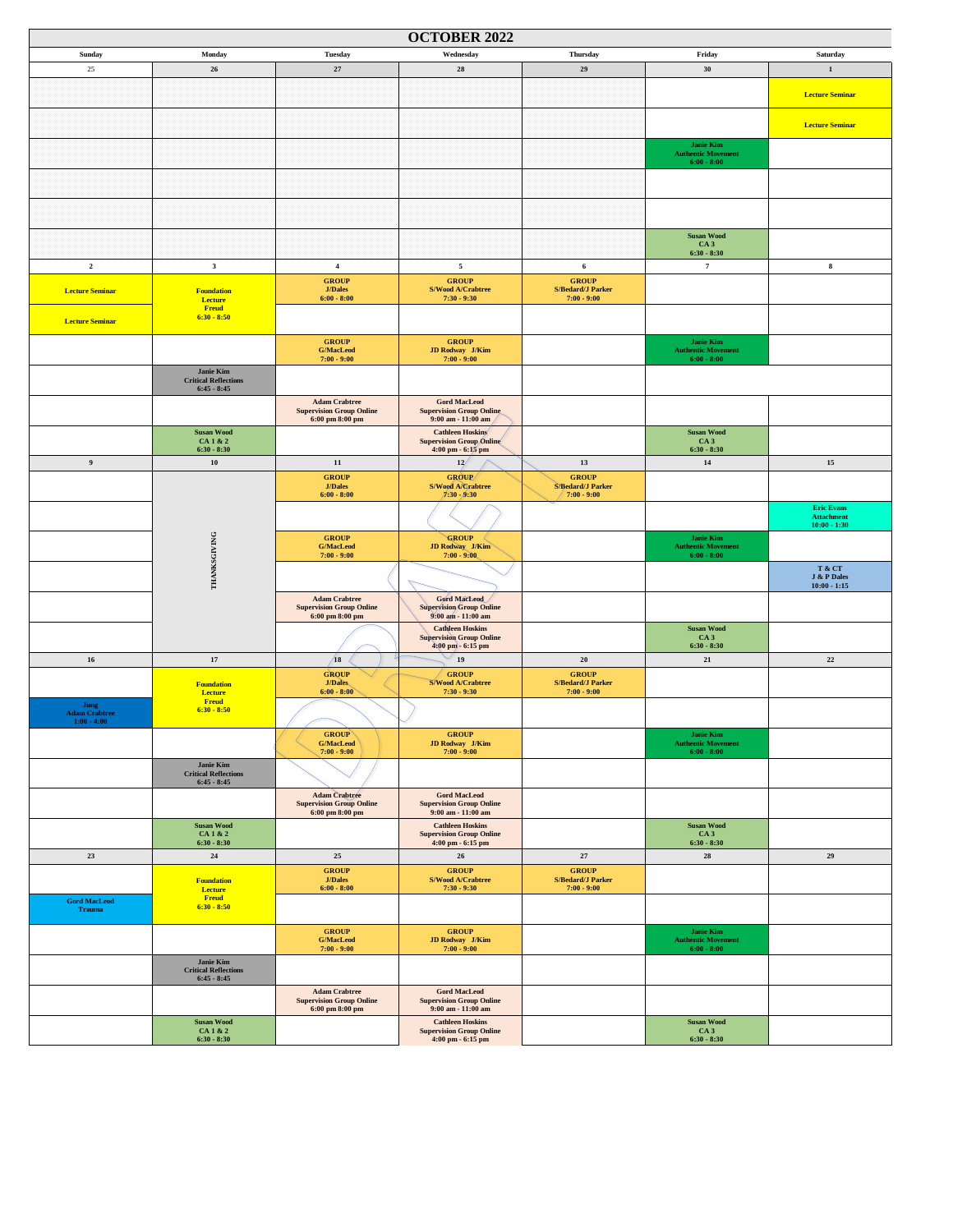| <b>OCTOBER 2022</b>                           |                                                                 |                                                                                            |                                                                                  |                                                           |                                                                |                                                          |  |  |
|-----------------------------------------------|-----------------------------------------------------------------|--------------------------------------------------------------------------------------------|----------------------------------------------------------------------------------|-----------------------------------------------------------|----------------------------------------------------------------|----------------------------------------------------------|--|--|
| Sunday                                        | Monday                                                          | <b>Tuesday</b>                                                                             | Wednesday                                                                        | Thursday                                                  | Friday                                                         | Saturday                                                 |  |  |
| $25\,$                                        | 26                                                              | $\bf 27$                                                                                   | ${\bf 28}$                                                                       | 29                                                        | 30                                                             | $\mathbf{1}$                                             |  |  |
|                                               |                                                                 |                                                                                            |                                                                                  |                                                           |                                                                | <b>Lecture Seminar</b>                                   |  |  |
|                                               |                                                                 |                                                                                            |                                                                                  |                                                           |                                                                |                                                          |  |  |
|                                               |                                                                 |                                                                                            |                                                                                  |                                                           |                                                                | <b>Lecture Seminar</b>                                   |  |  |
|                                               |                                                                 |                                                                                            |                                                                                  |                                                           | <b>Janie Kim</b><br><b>Authentic Movement</b><br>$6:00 - 8:00$ |                                                          |  |  |
|                                               |                                                                 |                                                                                            |                                                                                  |                                                           |                                                                |                                                          |  |  |
|                                               |                                                                 |                                                                                            |                                                                                  |                                                           |                                                                |                                                          |  |  |
|                                               |                                                                 |                                                                                            |                                                                                  |                                                           | <b>Susan Wood</b>                                              |                                                          |  |  |
|                                               |                                                                 |                                                                                            |                                                                                  |                                                           | CA <sub>3</sub><br>$6:30 - 8:30$                               |                                                          |  |  |
| $\mathbf 2$                                   | $\mathbf{3}$                                                    | $\overline{4}$                                                                             | $\sqrt{5}$                                                                       | $\bf{6}$                                                  | $\overline{7}$                                                 | $\bf8$                                                   |  |  |
| <b>Lecture Seminar</b>                        | <b>Foundation</b><br><b>Lecture</b>                             | <b>GROUP</b><br><b>J/Dales</b><br>$6:00 - 8:00$                                            | <b>GROUP</b><br>S/Wood A/Crabtree<br>$7:30 - 9:30$                               | <b>GROUP</b><br><b>S/Bedard/J Parker</b><br>$7:00 - 9:00$ |                                                                |                                                          |  |  |
|                                               | <b>Freud</b><br>$6:30 - 8:50$                                   |                                                                                            |                                                                                  |                                                           |                                                                |                                                          |  |  |
| <b>Lecture Seminar</b>                        |                                                                 |                                                                                            |                                                                                  |                                                           |                                                                |                                                          |  |  |
|                                               |                                                                 | <b>GROUP</b><br>G/MacLeod<br>$7:00 - 9:00$                                                 | <b>GROUP</b><br>JD Rodway J/Kim<br>$7:00 - 9:00$                                 |                                                           | Janie Kim<br><b>Authentic Movement</b><br>$6:00 - 8:00$        |                                                          |  |  |
|                                               | Janie Kim<br><b>Critical Reflections</b><br>$6:45 - 8:45$       |                                                                                            |                                                                                  |                                                           |                                                                |                                                          |  |  |
|                                               |                                                                 | <b>Adam Crabtree</b><br><b>Supervision Group Online</b><br>$6:00~\text{pm}~8:00~\text{pm}$ | <b>Gord MacLeod</b><br><b>Supervision Group Online</b><br>$9:00$ am - $11:00$ am |                                                           |                                                                |                                                          |  |  |
|                                               | <b>Susan Wood</b><br>CA 1 & 2                                   |                                                                                            | <b>Cathleen Hoskins</b><br><b>Supervision Group Online</b>                       |                                                           | <b>Susan Wood</b><br>CA <sub>3</sub>                           |                                                          |  |  |
|                                               | $6:30 - 8:30$                                                   |                                                                                            | 4:00 pm - 6:15 pm                                                                |                                                           | $6:30 - 8:30$                                                  |                                                          |  |  |
| 9                                             | 10                                                              | 11                                                                                         | 12/                                                                              | 13                                                        | 14                                                             | $15\,$                                                   |  |  |
|                                               |                                                                 | <b>GROUP</b><br><b>J/Dales</b><br>$6:00 - 8:00$                                            | GROUP/<br>S/Wood A/Crabtree<br>$/1:30 - 9:30$                                    | <b>GROUP</b><br><b>S/Bedard/J Parker</b><br>$7:00 - 9:00$ |                                                                |                                                          |  |  |
|                                               |                                                                 |                                                                                            |                                                                                  |                                                           |                                                                | <b>Eric Evans</b><br><b>Attachment</b><br>$10:00 - 1:30$ |  |  |
|                                               |                                                                 | <b>GROUP</b><br><b>G/MacLeod</b><br>$7:00 - 9:00$                                          | GROUP<br>JD Rodway J/Kim<br>$7:00 - 9:00$                                        |                                                           | Janie Kim<br><b>Authentic Movement</b><br>$6:00 - 8:00$        |                                                          |  |  |
|                                               | THANKSGIVING                                                    |                                                                                            |                                                                                  |                                                           |                                                                | T & CT<br>J & P Dales<br>$10:00 - 1:15$                  |  |  |
|                                               |                                                                 | <b>Adam Crabtree</b><br><b>Supervision Group Online</b><br>6:00~pm~8:00~pm                 | Gord MacLeod<br><b>Supervision Group Online</b><br>9:00 am - 11:00 am            |                                                           |                                                                |                                                          |  |  |
|                                               |                                                                 |                                                                                            | <b>Cathleen Hoskins</b><br><b>Supervision Group Online</b>                       |                                                           | <b>Susan Wood</b><br>CA <sub>3</sub>                           |                                                          |  |  |
| $16\,$                                        | $17\,$                                                          | /18                                                                                        | 4:00 pm - 6:15 pm<br>19                                                          | 20                                                        | $6:30 - 8:30$<br>$\bf{21}$                                     | $\bf{22}$                                                |  |  |
|                                               |                                                                 | <b>GROUP</b>                                                                               | <b>GROUP</b>                                                                     | <b>GROUP</b>                                              |                                                                |                                                          |  |  |
|                                               | <b>Foundation</b><br>Lecture                                    | J/Dales<br>$6:00 - 8:00$                                                                   | S/Wood A/Crabtree<br>$7:30 - 9:30$                                               | <b>S/Bedard/J Parker</b><br>$7:00 - 9:00$                 |                                                                |                                                          |  |  |
| Jung<br><b>Adam Crabtree</b><br>$1:00 - 4:00$ | <b>Freud</b><br>$6:30 - 8:50$                                   |                                                                                            |                                                                                  |                                                           |                                                                |                                                          |  |  |
|                                               |                                                                 | <b>GROUP</b><br>$\mathbf{G}/\mathbf{MacLocal}$<br>$7:00 - 9:00$                            | <b>GROUP</b><br>JD Rodway J/Kim<br>$7:00 - 9:00$                                 |                                                           | <b>Janie Kim</b><br><b>Authentic Movement</b><br>$6:00 - 8:00$ |                                                          |  |  |
|                                               | Janie Kim<br><b>Critical Reflections</b><br>$6:45 - 8:45$       |                                                                                            |                                                                                  |                                                           |                                                                |                                                          |  |  |
|                                               |                                                                 | <b>Adam Crabtree</b><br><b>Supervision Group Online</b><br>6:00~pm~8:00~pm                 | <b>Gord MacLeod</b><br><b>Supervision Group Online</b><br>$9:00$ am - $11:00$ am |                                                           |                                                                |                                                          |  |  |
|                                               | $\boldsymbol{\mathrm{Susan}}$ Wood<br>CA 1 & 2                  |                                                                                            | <b>Cathleen Hoskins</b><br><b>Supervision Group Online</b>                       |                                                           | <b>Susan Wood</b><br>CA <sub>3</sub>                           |                                                          |  |  |
|                                               | $6:30 - 8:30$                                                   |                                                                                            | 4:00 pm - 6:15 pm                                                                |                                                           | $6:30 - 8:30$                                                  |                                                          |  |  |
| $\bf 23$                                      | $\bf{24}$                                                       | $25\,$<br><b>GROUP</b>                                                                     | 26<br><b>GROUP</b>                                                               | $\bf 27$<br><b>GROUP</b>                                  | ${\bf 28}$                                                     | $\bf 29$                                                 |  |  |
|                                               | <b>Foundation</b><br><b>Lecture</b>                             | $\mathbf{J}/\mathbf{Dales}$<br>$6:00 - 8:00$                                               | S/Wood A/Crabtree<br>$7:30 - 9:30$                                               | <b>S/Bedard/J Parker</b><br>$7:00 - 9:00$                 |                                                                |                                                          |  |  |
| <b>Gord MacLeod</b><br><b>Trauma</b>          | <b>Freud</b><br>$6:30 - 8:50$                                   |                                                                                            |                                                                                  |                                                           |                                                                |                                                          |  |  |
|                                               |                                                                 | <b>GROUP</b><br><b>G/MacLeod</b><br>$7:00 - 9:00$                                          | <b>GROUP</b><br>JD Rodway J/Kim<br>$7:00 - 9:00$                                 |                                                           | <b>Janie Kim</b><br><b>Authentic Movement</b><br>$6:00 - 8:00$ |                                                          |  |  |
|                                               | Janie Kim<br><b>Critical Reflections</b>                        |                                                                                            |                                                                                  |                                                           |                                                                |                                                          |  |  |
|                                               | $6:45 - 8:45$                                                   | <b>Adam Crabtree</b>                                                                       | <b>Gord MacLeod</b>                                                              |                                                           |                                                                |                                                          |  |  |
|                                               |                                                                 | <b>Supervision Group Online</b><br>6:00 pm 8:00 pm                                         | <b>Supervision Group Online</b><br>9:00 am - 11:00 am                            |                                                           |                                                                |                                                          |  |  |
|                                               | $\boldsymbol{\mathrm{Susan}}$ Wood<br>CA 1 & 2<br>$6:30 - 8:30$ |                                                                                            | <b>Cathleen Hoskins</b><br><b>Supervision Group Online</b><br>4:00 pm - 6:15 pm  |                                                           | <b>Susan Wood</b><br>CA <sub>3</sub><br>$6:30 - 8:30$          |                                                          |  |  |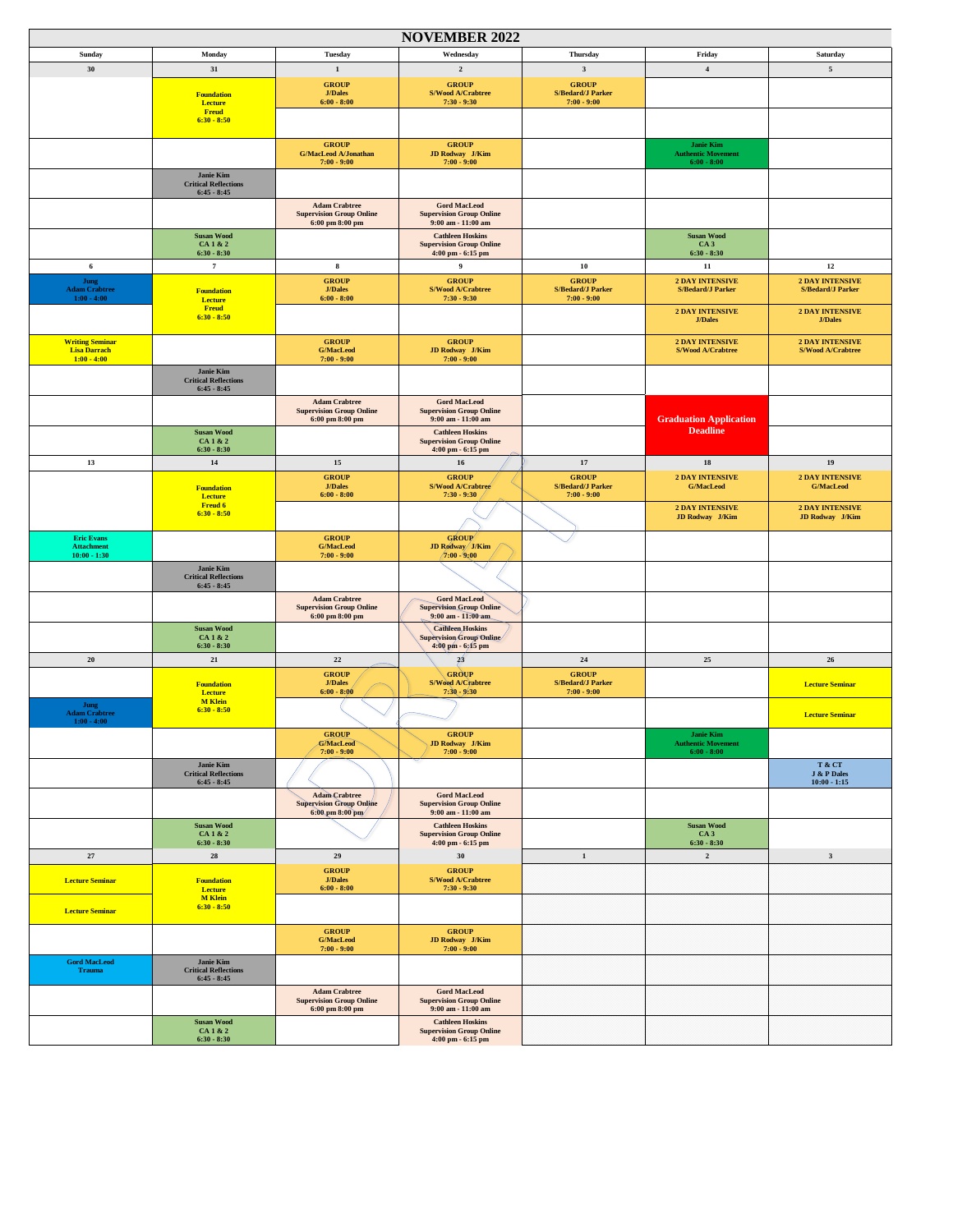|                                               |                                              |                                                         | <b>NOVEMBER 2022</b>                                       |                                           |                                                    |                                                    |
|-----------------------------------------------|----------------------------------------------|---------------------------------------------------------|------------------------------------------------------------|-------------------------------------------|----------------------------------------------------|----------------------------------------------------|
| Sunday                                        | Monday                                       | Tuesday                                                 | Wednesday                                                  | Thursday                                  | Friday                                             | Saturday                                           |
| 30                                            | $31\,$                                       | $\mathbf 1$                                             | $\mathbf 2$                                                | $\mathbf{3}$                              | $\bf{4}$                                           | $\sqrt{5}$                                         |
|                                               |                                              | <b>GROUP</b>                                            | <b>GROUP</b>                                               | <b>GROUP</b>                              |                                                    |                                                    |
|                                               | <b>Foundation</b><br><b>Lecture</b>          | <b>J/Dales</b><br>$6:00 - 8:00$                         | S/Wood A/Crabtree<br>$7:30 - 9:30$                         | <b>S/Bedard/J Parker</b><br>$7:00 - 9:00$ |                                                    |                                                    |
|                                               | <b>Freud</b><br>$6:30 - 8:50$                |                                                         |                                                            |                                           |                                                    |                                                    |
|                                               |                                              |                                                         |                                                            |                                           |                                                    |                                                    |
|                                               |                                              | <b>GROUP</b>                                            | <b>GROUP</b>                                               |                                           | <b>Janie Kim</b>                                   |                                                    |
|                                               |                                              | <b>G/MacLeod A/Jonathan</b><br>$7:00 - 9:00$            | <b>JD Rodway</b> J/Kim<br>$7:00 - 9:00$                    |                                           | <b>Authentic Movement</b><br>$6:00 - 8:00$         |                                                    |
|                                               | <b>Janie Kim</b>                             |                                                         |                                                            |                                           |                                                    |                                                    |
|                                               | <b>Critical Reflections</b><br>$6:45 - 8:45$ |                                                         |                                                            |                                           |                                                    |                                                    |
|                                               |                                              | <b>Adam Crabtree</b>                                    | <b>Gord MacLeod</b><br><b>Supervision Group Online</b>     |                                           |                                                    |                                                    |
|                                               |                                              | <b>Supervision Group Online</b><br>6:00 pm 8:00 pm      | 9:00 am - 11:00 am                                         |                                           |                                                    |                                                    |
|                                               | <b>Susan Wood</b><br>CA 1 & 2                |                                                         | <b>Cathleen Hoskins</b><br><b>Supervision Group Online</b> |                                           | <b>Susan Wood</b><br>CA <sub>3</sub>               |                                                    |
|                                               | $6:30 - 8:30$                                |                                                         | 4:00 pm - 6:15 pm                                          |                                           | $6:30 - 8:30$                                      |                                                    |
| 6                                             | $\scriptstyle\rm 7$                          | $\bf8$                                                  | 9                                                          | 10                                        | $11\,$                                             | $12$                                               |
| Jung<br><b>Adam Crabtree</b>                  | <b>Foundation</b>                            | <b>GROUP</b><br><b>J/Dales</b>                          | <b>GROUP</b><br>S/Wood A/Crabtree                          | <b>GROUP</b><br><b>S/Bedard/J Parker</b>  | <b>2 DAY INTENSIVE</b><br><b>S/Bedard/J Parker</b> | <b>2 DAY INTENSIVE</b><br><b>S/Bedard/J Parker</b> |
| $1:00 - 4:00$                                 | Lecture                                      | $6:00 - 8:00$                                           | $7:30 - 9:30$                                              | $7:00 - 9:00$                             |                                                    |                                                    |
|                                               | <b>Freud</b><br>$6:30 - 8:50$                |                                                         |                                                            |                                           | <b>2 DAY INTENSIVE</b><br><b>J/Dales</b>           | <b>2 DAY INTENSIVE</b><br><b>J/Dales</b>           |
|                                               |                                              |                                                         |                                                            |                                           |                                                    |                                                    |
| <b>Writing Seminar</b><br><b>Lisa Darrach</b> |                                              | <b>GROUP</b><br><b>G/MacLeod</b>                        | <b>GROUP</b><br>JD Rodway J/Kim                            |                                           | <b>2 DAY INTENSIVE</b><br>S/Wood A/Crabtree        | <b>2 DAY INTENSIVE</b><br>S/Wood A/Crabtree        |
| $1:00 - 4:00$                                 |                                              | $7:00 - 9:00$                                           | $7:00 - 9:00$                                              |                                           |                                                    |                                                    |
|                                               | Janie Kim<br><b>Critical Reflections</b>     |                                                         |                                                            |                                           |                                                    |                                                    |
|                                               | $6:45 - 8:45$                                |                                                         |                                                            |                                           |                                                    |                                                    |
|                                               |                                              | <b>Adam Crabtree</b><br><b>Supervision Group Online</b> | <b>Gord MacLeod</b><br><b>Supervision Group Online</b>     |                                           |                                                    |                                                    |
|                                               |                                              | 6:00 pm 8:00 pm                                         | 9:00 am - 11:00 am                                         |                                           | <b>Graduation Application</b><br><b>Deadline</b>   |                                                    |
|                                               | <b>Susan Wood</b><br>CA 1 & 2                |                                                         | <b>Cathleen Hoskins</b><br><b>Supervision Group Online</b> |                                           |                                                    |                                                    |
|                                               | $6:30 - 8:30$                                |                                                         | 4:00 pm - 6:15 pm                                          |                                           |                                                    |                                                    |
| 13                                            | $14\,$                                       | 15<br><b>GROUP</b>                                      | $16\,$<br><b>GROUP</b>                                     | 17<br><b>GROUP</b>                        | ${\bf 18}$<br><b>2 DAY INTENSIVE</b>               | 19<br><b>2 DAY INTENSIVE</b>                       |
|                                               | <b>Foundation</b>                            | <b>J/Dales</b>                                          | S/Wood A/Crabtree                                          | <b>S/Bedard/J Parker</b>                  | <b>G/MacLeod</b>                                   | <b>G/MacLeod</b>                                   |
|                                               | Lecture<br><b>Freud 6</b>                    | $6:00 - 8:00$                                           | $7:30 - 9:30$                                              | $7:00 - 9:00$                             | <b>2 DAY INTENSIVE</b>                             | <b>2 DAY INTENSIVE</b>                             |
|                                               | $6:30 - 8:50$                                |                                                         |                                                            |                                           | JD Rodway J/Kim                                    | JD Rodway J/Kim                                    |
| <b>Eric Evans</b>                             |                                              | <b>GROUP</b>                                            | <b>GROUP</b>                                               |                                           |                                                    |                                                    |
| <b>Attachment</b><br>$10:00 - 1:30$           |                                              | <b>G/MacLeod</b><br>$7:00 - 9:00$                       | JD Rodway J/Kim<br>$/7:00 - 9:00$                          |                                           |                                                    |                                                    |
|                                               | <b>Janie Kim</b>                             |                                                         |                                                            |                                           |                                                    |                                                    |
|                                               | <b>Critical Reflections</b><br>$6:45 - 8:45$ |                                                         |                                                            |                                           |                                                    |                                                    |
|                                               |                                              | <b>Adam Crabtree</b>                                    | <b>Gord MacLeod</b>                                        |                                           |                                                    |                                                    |
|                                               |                                              | <b>Supervision Group Online</b><br>6:00 pm 8:00 pm      | <b>Supervision Group Online</b><br>9:00 am - 11:00 am      |                                           |                                                    |                                                    |
|                                               | <b>Susan Wood</b>                            |                                                         | <b>Cathleen</b> , Hoskins                                  |                                           |                                                    |                                                    |
|                                               | CA1&2<br>$6:30 - 8:30$                       |                                                         | Supervision Group Online<br>4:00 pm - 6:15 pm              |                                           |                                                    |                                                    |
| ${\bf 20}$                                    | $\bf{21}$                                    | $\bf{22}$                                               | $\frac{1}{2}$                                              | $\bf 24$                                  | 25                                                 | 26                                                 |
|                                               |                                              | <b>GROUP</b>                                            | <b>GROUP</b>                                               | <b>GROUP</b>                              |                                                    |                                                    |
|                                               | <b>Foundation</b><br>Lecture                 | <b>J/Dales</b><br>$6:00 - 8:00$                         | <b>S/Wood A/Crabtree</b><br>$7:30 - 9:30$                  | <b>S/Bedard/J Parker</b><br>$7:00 - 9:00$ |                                                    | <b>Lecture Seminar</b>                             |
| Jung                                          | <b>M</b> Klein<br>$6:30 - 8:50$              |                                                         |                                                            |                                           |                                                    |                                                    |
| <b>Adam Crabtree</b><br>$1:00 - 4:00$         |                                              |                                                         |                                                            |                                           |                                                    | <b>Lecture Seminar</b>                             |
|                                               |                                              | <b>GROUP</b>                                            | <b>GROUP</b><br>JD Rodway J/Kim                            |                                           | Janie Kim                                          |                                                    |
|                                               |                                              | <b>G/MacLeod</b><br>$7:00 - 9:00$                       | $7:00 - 9:00$                                              |                                           | <b>Authentic Movement</b><br>$6:00 - 8:00$         |                                                    |
|                                               | Janie Kim<br><b>Critical Reflections</b>     |                                                         |                                                            |                                           |                                                    | T & CT<br>J & P Dales                              |
|                                               | $6:45 - 8:45$                                |                                                         |                                                            |                                           |                                                    | $10:00 - 1:15$                                     |
|                                               |                                              | <b>Adam Crabtree</b><br><b>Supervision Group Online</b> | <b>Gord MacLeod</b><br><b>Supervision Group Online</b>     |                                           |                                                    |                                                    |
|                                               |                                              | $6:00~\text{pm}~8:00~\text{pm}$                         | $9:00$ am - $11:00$ am                                     |                                           |                                                    |                                                    |
|                                               | <b>Susan Wood</b><br>CA 1 & 2                |                                                         | <b>Cathleen Hoskins</b><br><b>Supervision Group Online</b> |                                           | <b>Susan Wood</b><br>CA3                           |                                                    |
|                                               | $6:30 - 8:30$                                |                                                         | $4:00$ pm $-6:15$ pm                                       |                                           | $6:30 - 8:30$                                      |                                                    |
| $27\,$                                        | ${\bf 28}$                                   | 29                                                      | 30                                                         | $\mathbf 1$                               | $\mathbf{2}^-$                                     | $\mathbf{3}$                                       |
| <b>Lecture Seminar</b>                        | <b>Foundation</b>                            | <b>GROUP</b><br><b>J/Dales</b>                          | <b>GROUP</b><br>S/Wood A/Crabtree                          |                                           |                                                    |                                                    |
|                                               | Lecture<br><b>M</b> Klein                    | $6:00 - 8:00$                                           | $7:30 - 9:30$                                              |                                           |                                                    |                                                    |
| <b>Lecture Seminar</b>                        | $6:30 - 8:50$                                |                                                         |                                                            |                                           |                                                    |                                                    |
|                                               |                                              | <b>GROUP</b>                                            | <b>GROUP</b>                                               |                                           |                                                    |                                                    |
|                                               |                                              | <b>G/MacLeod</b>                                        | JD Rodway J/Kim                                            |                                           |                                                    |                                                    |
| <b>Gord MacLeod</b>                           | <b>Janie Kim</b>                             | $7:00 - 9:00$                                           | $7:00 - 9:00$                                              |                                           |                                                    |                                                    |
| <b>Trauma</b>                                 | <b>Critical Reflections</b><br>$6:45 - 8:45$ |                                                         |                                                            |                                           |                                                    |                                                    |
|                                               |                                              | <b>Adam Crabtree</b>                                    | <b>Gord MacLeod</b>                                        |                                           |                                                    |                                                    |
|                                               |                                              | <b>Supervision Group Online</b><br>6:00~pm~8:00~pm      | <b>Supervision Group Online</b><br>9:00 am - 11:00 am      |                                           |                                                    |                                                    |
|                                               | <b>Susan Wood</b>                            |                                                         | <b>Cathleen Hoskins</b>                                    |                                           |                                                    |                                                    |
|                                               | CA 1 & 2<br>$6:30 - 8:30$                    |                                                         | <b>Supervision Group Online</b><br>4:00 pm - 6:15 pm       |                                           |                                                    |                                                    |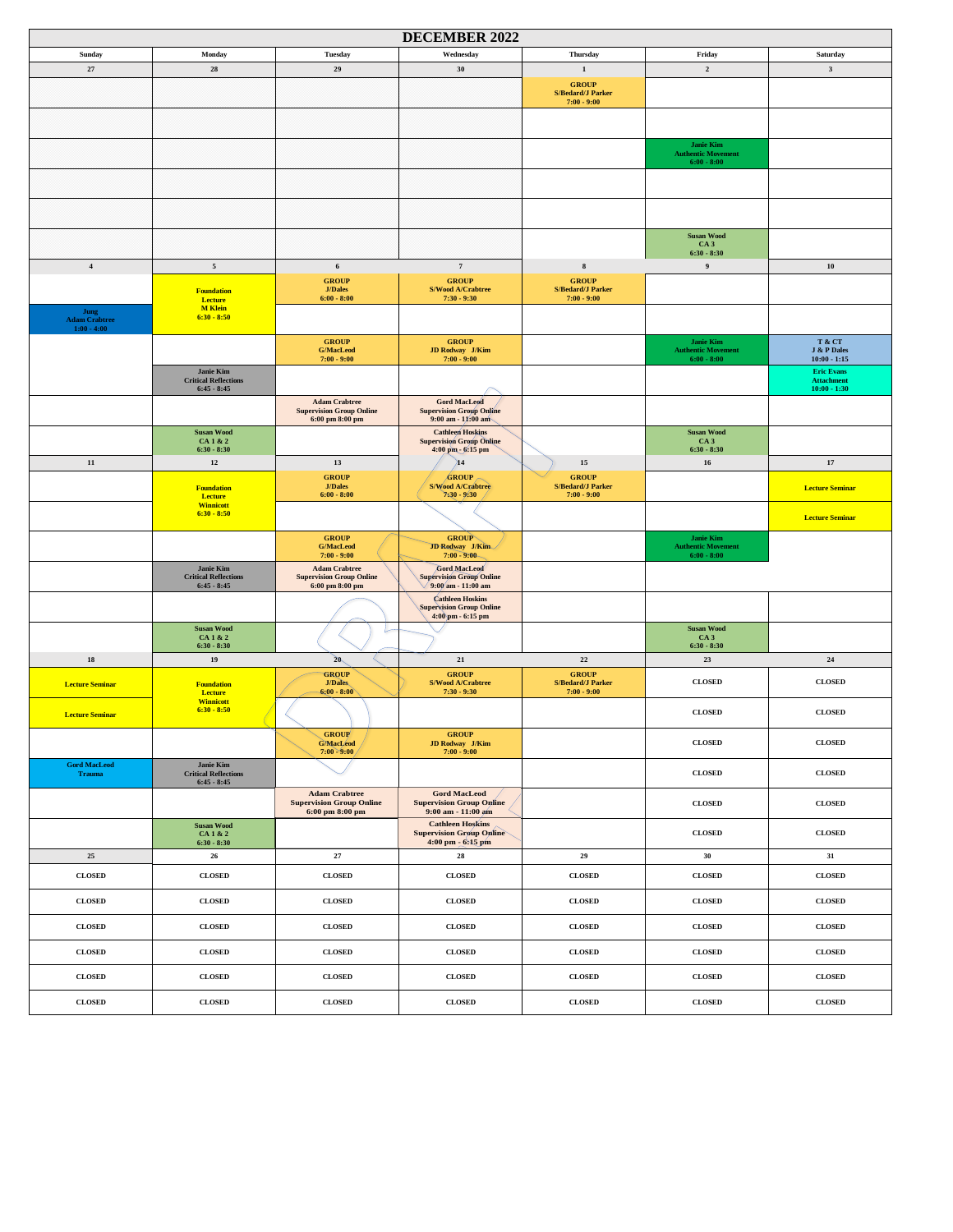| <b>DECEMBER 2022</b>                  |                                                                  |                                                                                            |                                                                                  |                                                           |                                                                |                                                          |  |  |
|---------------------------------------|------------------------------------------------------------------|--------------------------------------------------------------------------------------------|----------------------------------------------------------------------------------|-----------------------------------------------------------|----------------------------------------------------------------|----------------------------------------------------------|--|--|
| Sunday                                | Monday                                                           | Tuesday                                                                                    | Wednesday                                                                        | Thursday                                                  | Friday                                                         | Saturday                                                 |  |  |
| 27                                    | ${\bf 28}$                                                       | 29                                                                                         | 30                                                                               | 1                                                         | $\mathbf 2$                                                    | $\mathbf{3}$                                             |  |  |
|                                       |                                                                  |                                                                                            |                                                                                  | <b>GROUP</b><br><b>S/Bedard/J Parker</b><br>$7:00 - 9:00$ |                                                                |                                                          |  |  |
|                                       |                                                                  |                                                                                            |                                                                                  |                                                           |                                                                |                                                          |  |  |
|                                       |                                                                  |                                                                                            |                                                                                  |                                                           | <b>Janie Kim</b><br><b>Authentic Movement</b><br>$6:00 - 8:00$ |                                                          |  |  |
|                                       |                                                                  |                                                                                            |                                                                                  |                                                           |                                                                |                                                          |  |  |
|                                       |                                                                  |                                                                                            |                                                                                  |                                                           |                                                                |                                                          |  |  |
|                                       |                                                                  |                                                                                            |                                                                                  |                                                           | <b>Susan Wood</b><br>CA <sub>3</sub><br>$6:30 - 8:30$          |                                                          |  |  |
| $\bf{4}$                              | $\sqrt{5}$                                                       | 6                                                                                          | $\scriptstyle\rm 7$                                                              | $\bf8$                                                    | $\overline{9}$                                                 | ${\bf 10}$                                               |  |  |
|                                       |                                                                  | <b>GROUP</b><br><b>J/Dales</b>                                                             | <b>GROUP</b><br>S/Wood A/Crabtree                                                | <b>GROUP</b><br><b>S/Bedard/J Parker</b>                  |                                                                |                                                          |  |  |
| Jung                                  | <b>Foundation</b><br>Lecture<br><b>M</b> Klein<br>$6:30 - 8:50$  | $6:00 - 8:00$                                                                              | $7:30 - 9:30$                                                                    | $7:00 - 9:00$                                             |                                                                |                                                          |  |  |
| <b>Adam Crabtree</b><br>$1:00 - 4:00$ |                                                                  |                                                                                            |                                                                                  |                                                           |                                                                |                                                          |  |  |
|                                       |                                                                  | <b>GROUP</b><br><b>G/MacLeod</b><br>$7:00 - 9:00$                                          | <b>GROUP</b><br>JD Rodway J/Kim<br>$7:00 - 9:00$                                 |                                                           | Janie Kim<br><b>Authentic Movement</b><br>$6:00 - 8:00$        | T & CT<br>J & P Dales<br>$10:00 - 1:15$                  |  |  |
|                                       | Janie Kim<br><b>Critical Reflections</b><br>$6:45 - 8:45$        |                                                                                            |                                                                                  |                                                           |                                                                | <b>Eric Evans</b><br><b>Attachment</b><br>$10:00 - 1:30$ |  |  |
|                                       |                                                                  | <b>Adam Crabtree</b><br><b>Supervision Group Online</b><br>6:00 pm 8:00 pm                 | <b>Gord MacLeod</b><br><b>Supervision Group Online</b><br>$9:00$ am - $11:00$ am |                                                           |                                                                |                                                          |  |  |
|                                       | Susan Wood<br>CA 1 & 2<br>$6:30 - 8:30$                          |                                                                                            | <b>Cathleen Hoskins</b><br><b>Supervision Group Online</b><br>4:00 pm - 6:15 pm  |                                                           | <b>Susan Wood</b><br>CA3<br>$6:30 - 8:30$                      |                                                          |  |  |
| $11\,$                                | $12\,$                                                           | 13                                                                                         | $\overline{a}$                                                                   | $15\,$                                                    | 16                                                             | $17\,$                                                   |  |  |
|                                       | <b>Foundation</b><br><b>Lecture</b>                              | <b>GROUP</b><br><b>J/Dales</b><br>$6:00 - 8:00$                                            | <b>GROUP</b><br>S/Wood A/Crabtree<br>$7.30 - 9.30$                               | <b>GROUP</b><br><b>S/Bedard/J Parker</b><br>$7:00 - 9:00$ |                                                                | <b>Lecture Seminar</b>                                   |  |  |
|                                       | Winnicott<br>$6:30 - 8:50$                                       |                                                                                            |                                                                                  |                                                           |                                                                | <b>Lecture Seminar</b>                                   |  |  |
|                                       |                                                                  | <b>GROUP</b><br>G/MacLeod<br>$7:00 - 9:00$                                                 | <b>GROUP</b><br>JD Rodway J/Kim<br>$7:00 - 9:00$                                 |                                                           | <b>Janie Kim</b><br><b>Authentic Movement</b><br>$6:00 - 8:00$ |                                                          |  |  |
|                                       | <b>Janie Kim</b><br><b>Critical Reflections</b><br>$6:45 - 8:45$ | <b>Adam Crabtree</b><br><b>Supervision Group Online</b><br>6:00~pm~8:00~pm                 | Gord MacLeod<br><b>Supervisión Group Online</b><br>$9:00$ am - 11:00 am          |                                                           |                                                                |                                                          |  |  |
|                                       |                                                                  |                                                                                            | <b>Cathleen Hoskins</b><br><b>Supervision Group Online</b><br>4:00 pm - 6:15 pm  |                                                           |                                                                |                                                          |  |  |
|                                       | <b>Susan Wood</b><br>CA 1 & 2<br>$6:30 - 8:30$                   |                                                                                            |                                                                                  |                                                           | <b>Susan Wood</b><br>CA <sub>3</sub><br>$6:30 - 8:30$          |                                                          |  |  |
| 18                                    | 19                                                               | 20                                                                                         | 21                                                                               | $22\,$                                                    | 23                                                             | ${\bf 24}$                                               |  |  |
| <b>Lecture Seminar</b>                | <b>Foundation</b><br>Lecture                                     | GROUP<br>J/Dales<br>$6:00 - 8:00$                                                          | <b>GROUP</b><br>S/Wood A/Crabtree<br>$7:30 - 9:30$                               | <b>GROUP</b><br><b>S/Bedard/J Parker</b><br>$7:00 - 9:00$ | <b>CLOSED</b>                                                  | <b>CLOSED</b>                                            |  |  |
| <b>Lecture Seminar</b>                | <b>Winnicott</b><br>$6:30 - 8:50$                                |                                                                                            |                                                                                  |                                                           | <b>CLOSED</b>                                                  | <b>CLOSED</b>                                            |  |  |
|                                       |                                                                  | <b>GROUP</b><br>G/MacLeod<br>$7:00 - 9:00$                                                 | <b>GROUP</b><br>JD Rodway J/Kim<br>$7:00 - 9:00$                                 |                                                           | <b>CLOSED</b>                                                  | ${\bf CLOSED}$                                           |  |  |
| <b>Gord MacLeod</b><br><b>Trauma</b>  | <b>Janie Kim</b><br><b>Critical Reflections</b><br>$6:45 - 8:45$ |                                                                                            |                                                                                  |                                                           | <b>CLOSED</b>                                                  | ${\bf CLOSED}$                                           |  |  |
|                                       |                                                                  | <b>Adam Crabtree</b><br><b>Supervision Group Online</b><br>$6:00~\text{pm}~8:00~\text{pm}$ | <b>Gord MacLeod</b><br><b>Supervision Group Opline</b><br>$9:00$ am - $11:00$ am |                                                           | <b>CLOSED</b>                                                  | ${\bf CLOSED}$                                           |  |  |
|                                       | <b>Susan Wood</b><br>CA 1 & 2<br>$6:30 - 8:30$                   |                                                                                            | <b>Cathleen Hoskins</b><br><b>Supervision Group Online</b><br>4:00 pm - 6:15 pm  |                                                           | <b>CLOSED</b>                                                  | ${\bf CLOSED}$                                           |  |  |
| 25                                    | ${\bf 26}$                                                       | $\bf 27$                                                                                   | ${\bf 28}$                                                                       | 29                                                        | 30                                                             | 31                                                       |  |  |
| <b>CLOSED</b>                         | <b>CLOSED</b>                                                    | <b>CLOSED</b>                                                                              | <b>CLOSED</b>                                                                    | <b>CLOSED</b>                                             | <b>CLOSED</b>                                                  | <b>CLOSED</b>                                            |  |  |
| <b>CLOSED</b>                         | ${\bf CLOSED}$                                                   | <b>CLOSED</b>                                                                              | ${\bf CLOSED}$                                                                   | <b>CLOSED</b>                                             | <b>CLOSED</b>                                                  | ${\bf CLOSED}$                                           |  |  |
| CLOSED                                | ${\bf CLOSED}$                                                   | ${\bf CLOSED}$                                                                             | ${\bf CLOSED}$                                                                   | CLOSED                                                    | <b>CLOSED</b>                                                  | ${\bf CLOSED}$                                           |  |  |
| <b>CLOSED</b>                         | <b>CLOSED</b>                                                    | <b>CLOSED</b>                                                                              | <b>CLOSED</b>                                                                    | <b>CLOSED</b>                                             | <b>CLOSED</b>                                                  | <b>CLOSED</b>                                            |  |  |
| <b>CLOSED</b>                         | <b>CLOSED</b>                                                    | <b>CLOSED</b>                                                                              | <b>CLOSED</b>                                                                    | <b>CLOSED</b>                                             | <b>CLOSED</b>                                                  | <b>CLOSED</b>                                            |  |  |
| <b>CLOSED</b>                         | <b>CLOSED</b>                                                    | <b>CLOSED</b>                                                                              | <b>CLOSED</b>                                                                    | <b>CLOSED</b>                                             | <b>CLOSED</b>                                                  | <b>CLOSED</b>                                            |  |  |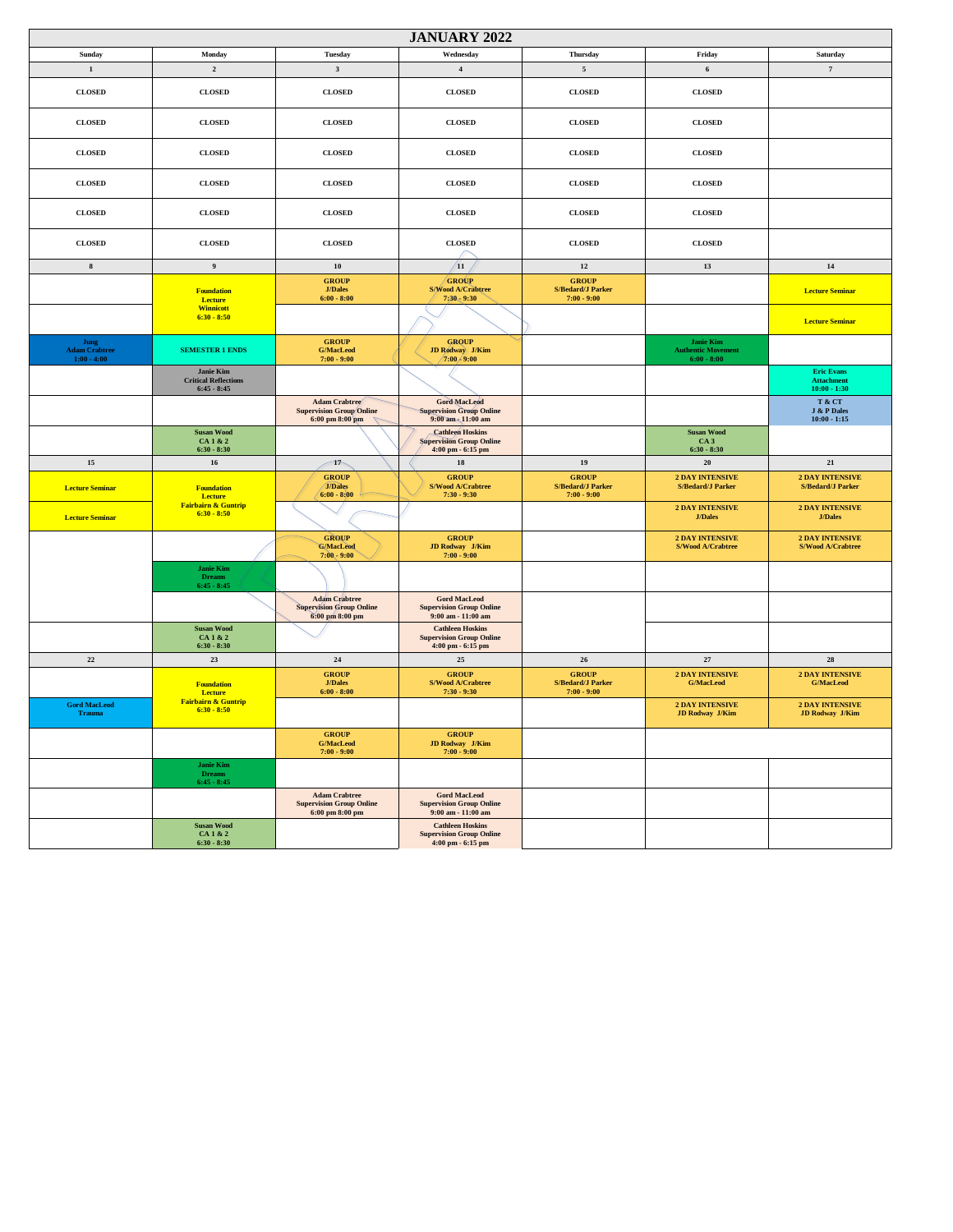| <b>JANUARY 2022</b>                           |                                                           |                                                                                            |                                                                                                   |                                                           |                                                         |                                                          |  |
|-----------------------------------------------|-----------------------------------------------------------|--------------------------------------------------------------------------------------------|---------------------------------------------------------------------------------------------------|-----------------------------------------------------------|---------------------------------------------------------|----------------------------------------------------------|--|
| Sunday                                        | Monday                                                    | <b>Tuesday</b>                                                                             | Wednesday                                                                                         | <b>Thursday</b>                                           | Friday                                                  | Saturday                                                 |  |
| $\mathbf{1}$                                  | $\mathbf 2$                                               | $\mathbf{3}$                                                                               | $\bf{4}$                                                                                          | $\sqrt{5}$                                                | $\bf 6$                                                 | $\scriptstyle\rm 7$                                      |  |
| <b>CLOSED</b>                                 | <b>CLOSED</b>                                             | <b>CLOSED</b>                                                                              | <b>CLOSED</b>                                                                                     | <b>CLOSED</b>                                             | <b>CLOSED</b>                                           |                                                          |  |
| <b>CLOSED</b>                                 | <b>CLOSED</b>                                             | <b>CLOSED</b>                                                                              | <b>CLOSED</b>                                                                                     | <b>CLOSED</b>                                             | <b>CLOSED</b>                                           |                                                          |  |
| <b>CLOSED</b>                                 | <b>CLOSED</b>                                             | <b>CLOSED</b>                                                                              | <b>CLOSED</b>                                                                                     | <b>CLOSED</b>                                             | <b>CLOSED</b>                                           |                                                          |  |
| <b>CLOSED</b>                                 | <b>CLOSED</b>                                             | <b>CLOSED</b>                                                                              | <b>CLOSED</b>                                                                                     | <b>CLOSED</b>                                             | <b>CLOSED</b>                                           |                                                          |  |
| <b>CLOSED</b>                                 | <b>CLOSED</b>                                             | <b>CLOSED</b>                                                                              | <b>CLOSED</b>                                                                                     | <b>CLOSED</b>                                             | <b>CLOSED</b>                                           |                                                          |  |
| <b>CLOSED</b>                                 | <b>CLOSED</b>                                             | <b>CLOSED</b>                                                                              | <b>CLOSED</b>                                                                                     | <b>CLOSED</b>                                             | <b>CLOSED</b>                                           |                                                          |  |
| $\bf8$                                        | $\overline{9}$                                            | $10$                                                                                       | $\sqrt{11}$                                                                                       | 12                                                        | 13                                                      | $14$                                                     |  |
|                                               | <b>Foundation</b><br>Lecture                              | <b>GROUP</b><br><b>J/Dales</b><br>$6:00 - 8:00$                                            | <b>GROUP</b><br>S/Wood A/Crabtree<br>7;20, 9:30                                                   | <b>GROUP</b><br><b>S/Bedard/J Parker</b><br>$7:00 - 9:00$ |                                                         | <b>Lecture Seminar</b>                                   |  |
|                                               | <b>Winnicott</b><br>$6:30 - 8:50$                         |                                                                                            |                                                                                                   |                                                           |                                                         | <b>Lecture Seminar</b>                                   |  |
| Jung<br><b>Adam Crabtree</b><br>$1:00 - 4:00$ | <b>SEMESTER 1 ENDS</b>                                    | <b>GROUP</b><br><b>G/MacLeod</b><br>$7:00 - 9:00$                                          | <b>GROUP</b><br><b>JD Rodway</b> J/Kim<br>/7:00 / 9:00                                            |                                                           | Janie Kim<br><b>Authentic Movement</b><br>$6:00 - 8:00$ |                                                          |  |
|                                               | Janie Kim<br><b>Critical Reflections</b><br>$6:45 - 8:45$ |                                                                                            |                                                                                                   |                                                           |                                                         | <b>Eric Evans</b><br><b>Attachment</b><br>$10:00 - 1:30$ |  |
|                                               |                                                           | Adam Crabtree<br><b>Supervision Group Online</b><br>6:00~pm~8:00~pm                        | Gord MacLeod<br><b>Supervision Group Online</b><br>9:00 am - 11:00 am                             |                                                           |                                                         | T & CT<br>J & P Dales<br>$10:00 - 1:15$                  |  |
|                                               | <b>Susan Wood</b><br>CA 1 & 2<br>$6:30 - 8:30$            |                                                                                            | <b>Cathleen Hoskins</b><br><b>Supervision Group Online</b><br>4:00 pm - 6:15 pm                   |                                                           | <b>Susan Wood</b><br>CA <sub>3</sub><br>$6:30 - 8:30$   |                                                          |  |
| $15\,$                                        | $16\,$                                                    | $\rightarrow$                                                                              | 18                                                                                                | 19                                                        | 20                                                      | 21                                                       |  |
| <b>Lecture Seminar</b>                        | <b>Foundation</b><br>Lecture                              | <b>GROUP</b><br><b>J/Dales</b><br>$6:00 - 8:00$                                            | <b>GROUP</b><br>S/Wood A/Crabtree<br>$7:30 - 9:30$                                                | <b>GROUP</b><br><b>S/Bedard/J Parker</b><br>$7:00 - 9:00$ | <b>2 DAY INTENSIVE</b><br><b>S/Bedard/J Parker</b>      | <b>2 DAY INTENSIVE</b><br><b>S/Bedard/J Parker</b>       |  |
| <b>Lecture Seminar</b>                        | Fairbairn & Guntrip<br>$6:30 - 8:50$                      |                                                                                            |                                                                                                   |                                                           | <b>2 DAY INTENSIVE</b><br><b>J/Dales</b>                | $2$ DAY INTENSIVE<br><b>J/Dales</b>                      |  |
|                                               |                                                           | <b>GROUP</b><br><b>G/MacLeod</b><br>$7:00 - 9:00$                                          | <b>GROUP</b><br>JD Rodway J/Kim<br>$7:00 - 9:00$                                                  |                                                           | <b>2 DAY INTENSIVE</b><br>S/Wood A/Crabtree             | <b>2 DAY INTENSIVE</b><br>S/Wood A/Crabtree              |  |
|                                               | <b>Janie Kim</b><br><b>Dreams</b><br>$6:45 - 8:45$        |                                                                                            |                                                                                                   |                                                           |                                                         |                                                          |  |
|                                               |                                                           | <b>Adam Crabtree</b><br><b>Supervision Group Online</b><br>6:00 pm 8:00 pm                 | <b>Gord MacLeod</b><br><b>Supervision Group Online</b><br>9:00 am - 11:00 am                      |                                                           |                                                         |                                                          |  |
|                                               | <b>Susan Wood</b><br>CA 1 & 2<br>$6:30 - 8:30$            |                                                                                            | <b>Cathleen Hoskins</b><br><b>Supervision Group Online</b><br>4:00 pm - 6:15 pm                   |                                                           |                                                         |                                                          |  |
| $22\,$                                        | $23\,$                                                    | $\bf 24$                                                                                   | $25\,$                                                                                            | ${\bf 26}$                                                | $\sqrt{27}$                                             | ${\bf 28}$                                               |  |
|                                               | <b>Foundation</b><br>Lecture                              | <b>GROUP</b><br><b>J/Dales</b><br>$6:00 - 8:00$                                            | <b>GROUP</b><br>S/Wood A/Crabtree<br>$7:30 - 9:30$                                                | <b>GROUP</b><br><b>S/Bedard/J Parker</b><br>$7:00 - 9:00$ | <b>2 DAY INTENSIVE</b><br><b>G/MacLeod</b>              | <b>2 DAY INTENSIVE</b><br><b>G/MacLeod</b>               |  |
| <b>Gord MacLeod</b><br><b>Trauma</b>          | <b>Fairbairn &amp; Guntrip</b><br>$6:30 - 8:50$           |                                                                                            |                                                                                                   |                                                           | <b>2 DAY INTENSIVE</b><br>JD Rodway J/Kim               | <b>2 DAY INTENSIVE</b><br><b>JD Rodway J/Kim</b>         |  |
|                                               |                                                           | <b>GROUP</b><br><b>G/MacLeod</b><br>$7:00 - 9:00$                                          | <b>GROUP</b><br>JD Rodway J/Kim<br>$7:00 - 9:00$                                                  |                                                           |                                                         |                                                          |  |
|                                               | <b>Janie Kim</b><br><b>Dreams</b><br>$6:45 - 8:45$        |                                                                                            |                                                                                                   |                                                           |                                                         |                                                          |  |
|                                               |                                                           | <b>Adam Crabtree</b><br><b>Supervision Group Online</b><br>$6:00~\text{pm}~8:00~\text{pm}$ | <b>Gord MacLeod</b><br><b>Supervision Group Online</b><br>9:00 am - 11:00 am                      |                                                           |                                                         |                                                          |  |
|                                               | <b>Susan Wood</b><br>CA 1 & 2<br>$6:30 - 8:30$            |                                                                                            | <b>Cathleen Hoskins</b><br><b>Supervision Group Online</b><br>$4:00 \text{ pm} - 6:15 \text{ pm}$ |                                                           |                                                         |                                                          |  |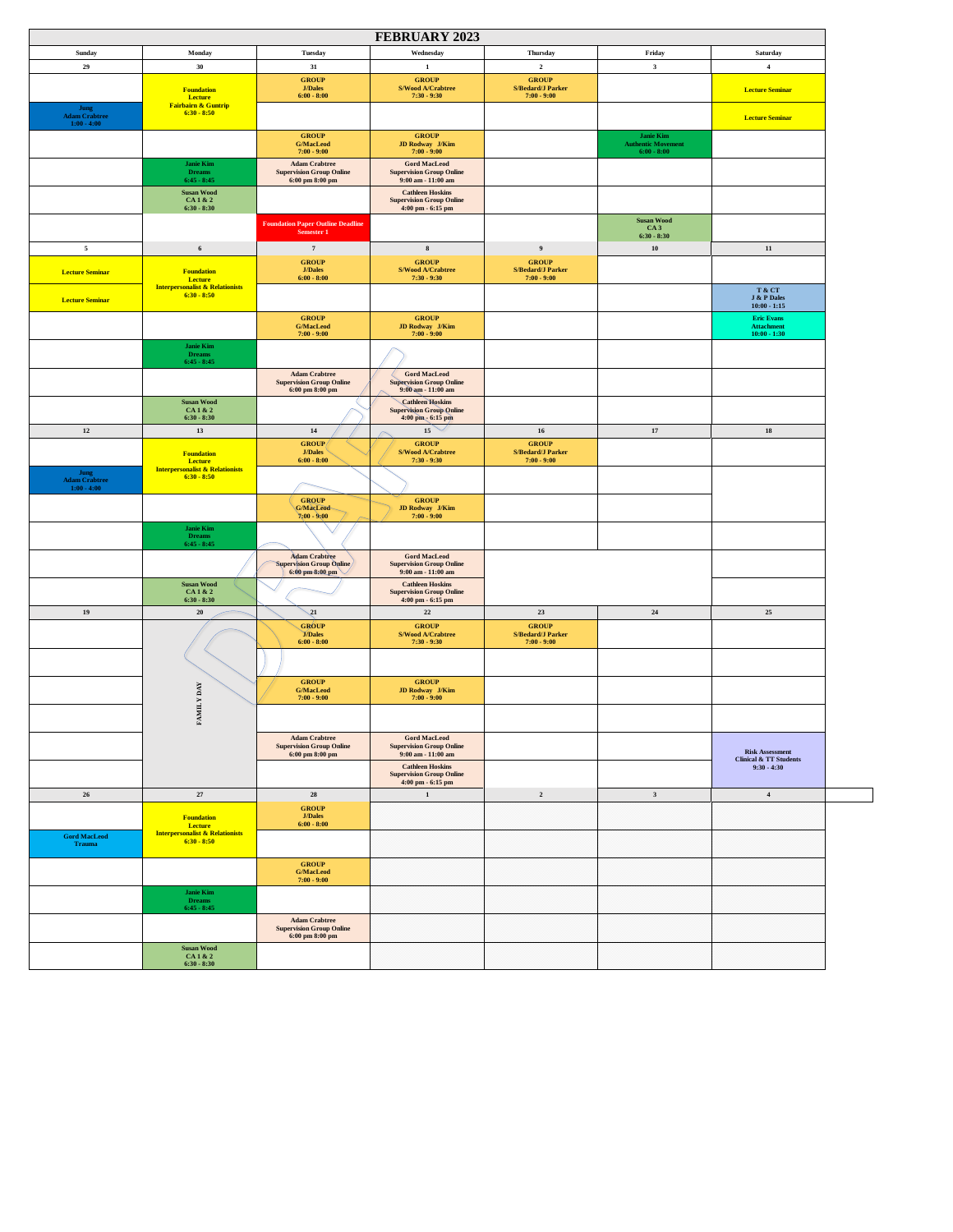| <b>FEBRUARY 2023</b>                          |                                                             |                                                                                                |                                                                                                                |                                                           |                                                                |                                                                       |  |  |
|-----------------------------------------------|-------------------------------------------------------------|------------------------------------------------------------------------------------------------|----------------------------------------------------------------------------------------------------------------|-----------------------------------------------------------|----------------------------------------------------------------|-----------------------------------------------------------------------|--|--|
| Sunday                                        | Monday                                                      | <b>Tuesday</b>                                                                                 | Wednesday                                                                                                      | Thursday                                                  | Friday                                                         | Saturday                                                              |  |  |
| $\bf 29$                                      | $30\,$                                                      | $31\,$                                                                                         | $1\,$                                                                                                          | $\mathbf 2$                                               | $\mathbf{3}$                                                   | $\bf{4}$                                                              |  |  |
|                                               | <b>Foundation</b><br><b>Lecture</b>                         | <b>GROUP</b><br>J/Dales<br>$6:00 - 8:00$                                                       | ${\bf GROUP}$<br>S/Wood A/Crabtree<br>$7:30 - 9:30$                                                            | ${\bf GROUP}$<br>S/Bedard/J Parker<br>$7:00 - 9:00$       |                                                                | <b>Lecture Seminar</b>                                                |  |  |
| <b>Jung</b><br>Adam Crabtree<br>$1:00 - 4:00$ | <b>Fairbairn &amp; Guntrip</b><br>$6:30 - 8:50$             |                                                                                                |                                                                                                                |                                                           |                                                                | <b>Lecture Seminar</b>                                                |  |  |
|                                               |                                                             | ${\bf GROUP}$<br><b>G/MacLeod</b><br>$7:00 - 9:00$                                             | <b>GROUP</b><br>JD Rodway J/Kim<br>$7:00 - 9:00$                                                               |                                                           | <b>Janie Kim</b><br><b>Authentic Movement</b><br>$6:00 - 8:00$ |                                                                       |  |  |
|                                               | <b>Janie Kim</b><br><b>Dreams</b><br>$6:45 - 8:45$          | <b>Adam Crabtree</b><br><b>Supervision Group Online</b><br>6:00 pm 8:00 pm                     | <b>Gord MacLeod</b><br><b>Supervision Group Online</b><br>9:00 am - 11:00 am                                   |                                                           |                                                                |                                                                       |  |  |
|                                               | <b>Susan Wood</b><br>CA1&2<br>$6:30 - 8:30$                 |                                                                                                | <b>Cathleen Hoskins</b><br><b>Supervision Group Online</b><br>4:00 pm - 6:15 pm                                |                                                           |                                                                |                                                                       |  |  |
|                                               |                                                             | <b>Foundation Paper Outline Deadline</b><br>Semester 1                                         |                                                                                                                |                                                           | <b>Susan Wood</b><br>CA <sub>3</sub><br>$6:30 - 8:30$          |                                                                       |  |  |
| $\sqrt{5}$                                    | $\bf 6$                                                     | $\scriptstyle\rm 7$                                                                            | ${\bf 8}$                                                                                                      | $\boldsymbol{9}$                                          | ${\bf 10}$                                                     | $11\,$                                                                |  |  |
| <b>Lecture Seminar</b>                        | <b>Foundation</b><br><b>Lecture</b>                         | <b>GROUP</b><br>J/Dales<br>$6:00 - 8:00$                                                       | ${\bf GROUP}$<br>S/Wood A/Crabtree<br>$7:30 - 9:30$                                                            | ${\bf GROUP}$<br>S/Bedard/J Parker<br>$7:00 - 9:00$       |                                                                |                                                                       |  |  |
| <b>Lecture Seminar</b>                        | <b>Interpersonalist &amp; Relationists</b><br>$6:30 - 8:50$ |                                                                                                |                                                                                                                |                                                           |                                                                | T & CT<br><b>J &amp; P Dales</b><br>$10:00 - 1:15$                    |  |  |
|                                               |                                                             | <b>GROUP</b><br><b>G/MacLeod</b><br>$7:00 - 9:00$                                              | ${\bf GROUP}$<br>JD Rodway J/Kim<br>$7:00 - 9:00$                                                              |                                                           |                                                                | <b>Eric Evans</b><br><b>Attachment</b><br>$10:00 - 1:30$              |  |  |
|                                               | Janie Kim<br><b>Dreams</b><br>$6:45 - 8:45$                 |                                                                                                |                                                                                                                |                                                           |                                                                |                                                                       |  |  |
|                                               |                                                             | <b>Adam Crabtree</b><br><b>Supervision Group Online</b><br>6:00 pm 8:00 pm                     | <b>Gord MacLeod</b><br><b>Supervision Group Online</b><br>9:00 am - 11:00 am                                   |                                                           |                                                                |                                                                       |  |  |
|                                               | <b>Susan Wood</b><br>CA1&2<br>$6:30 - 8:30$                 |                                                                                                | <b>Cathleen Hoskins</b><br><b>Supervision Group Online</b><br>4:00 pm - 6:15 pm                                |                                                           |                                                                |                                                                       |  |  |
| $12\,$                                        | 13                                                          | 14                                                                                             | $_{15}$ $\sim$                                                                                                 | 16                                                        | $17\,$                                                         | 18                                                                    |  |  |
|                                               | <b>Foundation</b><br><b>Lecture</b>                         | GROUP/<br>J/Dales<br>$6:00 - 8:00$                                                             | ${\bf GROUP}$<br>S/Wood A/Crabtree<br>$7:30 - 9:30$                                                            | ${\bf GROUP}$<br>S/Bedard/J Parker<br>$7:00 - 9:00$       |                                                                |                                                                       |  |  |
| <b>Jung</b><br>Adam Crabtree<br>$1:00 - 4:00$ | <b>Interpersonalist &amp; Relationists</b><br>$6:30 - 8:50$ |                                                                                                |                                                                                                                |                                                           |                                                                |                                                                       |  |  |
|                                               |                                                             | <b>GROUP</b><br>G/MacLeod<br>$7:00 - 9:00$                                                     | ${\bf GROUP}$<br>$\begin{array}{rl} \textbf{JD Rodway} & \textbf{J/Kim} \\ \textbf{7:00 - 9:00} & \end{array}$ |                                                           |                                                                |                                                                       |  |  |
|                                               | <b>Janie Kim</b><br><b>Dreams</b><br>$6:45 - 8:45$          |                                                                                                |                                                                                                                |                                                           |                                                                |                                                                       |  |  |
|                                               |                                                             | <b>Adam Crabtree</b><br>Supervision Group Online<br>6:00 pm 8:00 pm                            | <b>Gord MacLeod</b><br><b>Supervision Group Online</b><br>9:00 am - 11:00 am                                   |                                                           |                                                                |                                                                       |  |  |
|                                               | <b>Susan Wood</b><br>CA1&2<br>$6:30 - 8:30$                 |                                                                                                | <b>Cathleen Hoskins</b><br><b>Supervision Group Online</b><br>$4:00~\mathrm{pm}$ - $6:15~\mathrm{pm}$          |                                                           |                                                                |                                                                       |  |  |
| 19                                            | ${\bf 20}$                                                  | $\sqrt{21}$                                                                                    | $22\,$                                                                                                         | 23                                                        | 24                                                             | $25\,$                                                                |  |  |
|                                               |                                                             | <b>GROUP</b><br><b>J/Dales</b><br>$6:00 - 8:00$                                                | ${\bf GROUP}$<br>S/Wood A/Crabtree<br>$7:30 - 9:30$                                                            | <b>GROUP</b><br><b>S/Bedard/J Parker</b><br>$7:00 - 9:00$ |                                                                |                                                                       |  |  |
|                                               |                                                             |                                                                                                |                                                                                                                |                                                           |                                                                |                                                                       |  |  |
|                                               | <b>FAMILY DAY</b>                                           | <b>GROUP</b><br><b>G/MacLeod</b><br>$7:00 - 9:00$                                              | ${\bf GROUP}$<br>JD Rodway J/Kim<br>$7:00 - 9:00$                                                              |                                                           |                                                                |                                                                       |  |  |
|                                               |                                                             |                                                                                                |                                                                                                                |                                                           |                                                                |                                                                       |  |  |
|                                               |                                                             | <b>Adam Crabtree</b><br><b>Supervision Group Online</b><br>6:00 pm 8:00 pm                     | <b>Gord MacLeod</b><br><b>Supervision Group Online</b><br>9:00 am - 11:00 am                                   |                                                           |                                                                | $\operatorname{Risk}$ Assessment<br><b>Clinical &amp; TT Students</b> |  |  |
|                                               |                                                             |                                                                                                | ${\bf Cathleen~Hoskins}$<br><b>Supervision Group Online</b><br>$4:00$ pm - $6:15$ pm                           |                                                           |                                                                | $9:30 - 4:30$                                                         |  |  |
| ${\bf 26}$                                    | $27\,$                                                      | ${\bf 28}$                                                                                     | $\mathbf{1}$                                                                                                   | $\mathbf{2}% ^{T}=\mathbf{2}^{T}\times\mathbf{2}^{T}$     | $\mathbf{3}$                                                   | $\bf{4}$                                                              |  |  |
|                                               | <b>Foundation</b><br>Lecture                                | <b>GROUP</b><br>J/Dales<br>$6:00 - 8:00$                                                       |                                                                                                                |                                                           |                                                                |                                                                       |  |  |
| <b>Gord MacLeod</b><br><b>Trauma</b>          | <b>Interpersonalist &amp; Relationists</b><br>$6:30 - 8:50$ |                                                                                                |                                                                                                                |                                                           |                                                                |                                                                       |  |  |
|                                               |                                                             | <b>GROUP</b><br><b>G/MacLeod</b><br>$7:00 - 9:00$                                              |                                                                                                                |                                                           |                                                                |                                                                       |  |  |
|                                               | <b>Janie Kim</b><br><b>Dreams</b><br>$6:45 - 8:45$          |                                                                                                |                                                                                                                |                                                           |                                                                |                                                                       |  |  |
|                                               |                                                             | <b>Adam Crabtree</b><br><b>Supervision Group Online</b><br>$6:00~\mathrm{pm}~8:00~\mathrm{pm}$ |                                                                                                                |                                                           |                                                                |                                                                       |  |  |
|                                               | <b>Susan Wood</b><br>CA 1 & 2<br>$6:30 - 8:30$              |                                                                                                |                                                                                                                |                                                           |                                                                |                                                                       |  |  |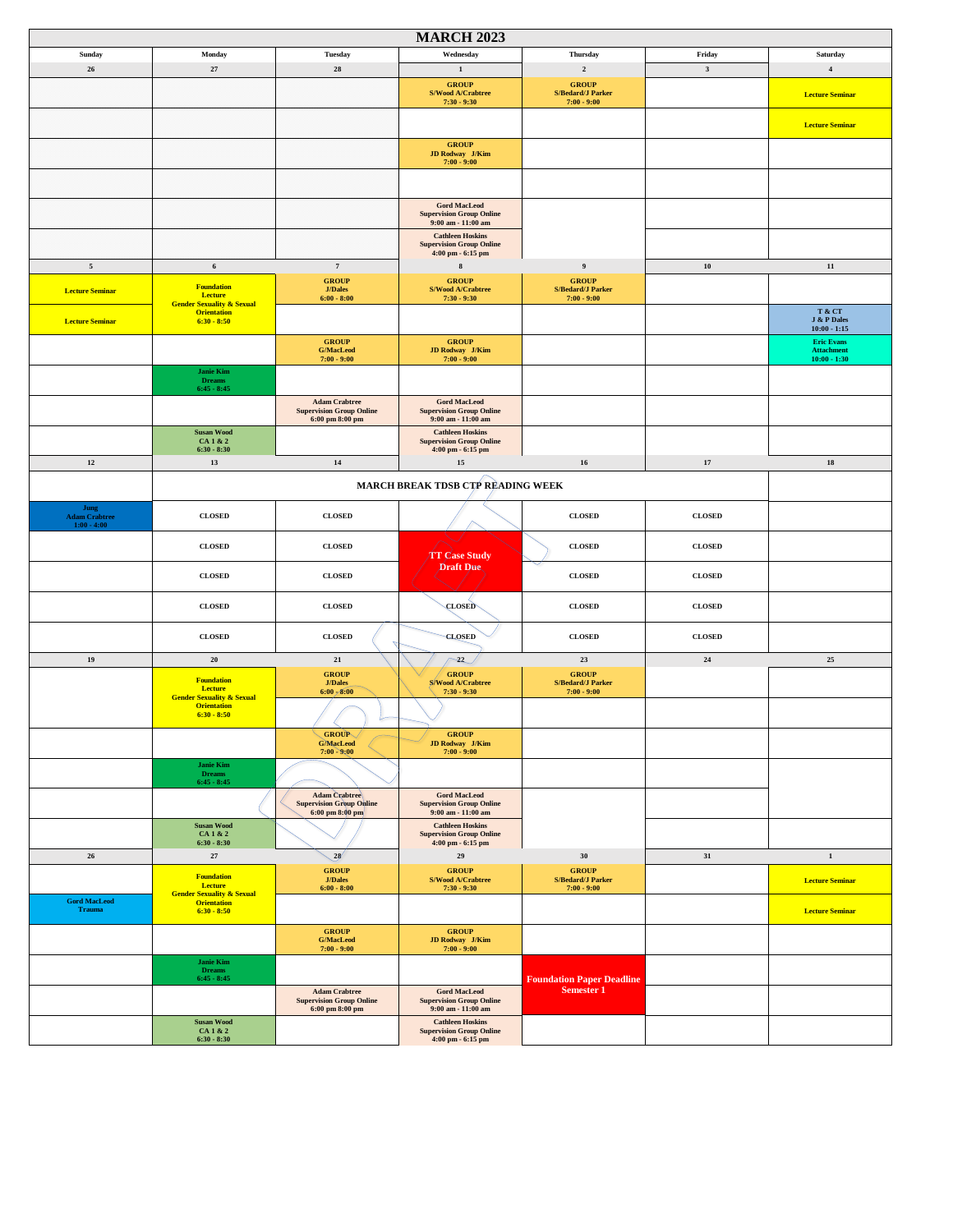| <b>MARCH 2023</b>                             |                                                                             |                                                                                            |                                                                                  |                                                           |                |                                                          |  |
|-----------------------------------------------|-----------------------------------------------------------------------------|--------------------------------------------------------------------------------------------|----------------------------------------------------------------------------------|-----------------------------------------------------------|----------------|----------------------------------------------------------|--|
| Sunday                                        | Monday                                                                      | Tuesday                                                                                    | Wednesday                                                                        | <b>Thursday</b>                                           | Friday         | Saturday                                                 |  |
| ${\bf 26}$                                    | $\bf 27$                                                                    | ${\bf 28}$                                                                                 | $\mathbf 1$                                                                      | $\mathbf 2$                                               | $\mathbf{3}$   | $\bf{4}$                                                 |  |
|                                               |                                                                             |                                                                                            | <b>GROUP</b><br>S/Wood A/Crabtree<br>$7:30 - 9:30$                               | <b>GROUP</b><br><b>S/Bedard/J Parker</b><br>$7:00 - 9:00$ |                | <b>Lecture Seminar</b>                                   |  |
|                                               |                                                                             |                                                                                            |                                                                                  |                                                           |                | <b>Lecture Seminar</b>                                   |  |
|                                               |                                                                             |                                                                                            | <b>GROUP</b><br><b>JD Rodway</b> J/Kim<br>$7:00 - 9:00$                          |                                                           |                |                                                          |  |
|                                               |                                                                             |                                                                                            |                                                                                  |                                                           |                |                                                          |  |
|                                               |                                                                             |                                                                                            | <b>Gord MacLeod</b><br><b>Supervision Group Online</b><br>$9:00$ am - $11:00$ am |                                                           |                |                                                          |  |
|                                               |                                                                             |                                                                                            | <b>Cathleen Hoskins</b><br><b>Supervision Group Online</b><br>4:00 pm - 6:15 pm  |                                                           |                |                                                          |  |
| $\sqrt{5}$                                    | $\bf 6$                                                                     | $\scriptstyle\rm 7$                                                                        | 8                                                                                | $\overline{9}$                                            | ${\bf 10}$     | 11                                                       |  |
| <b>Lecture Seminar</b>                        | <b>Foundation</b><br>Lecture                                                | <b>GROUP</b><br><b>J/Dales</b><br>$6:00 - 8:00$                                            | <b>GROUP</b><br>S/Wood A/Crabtree<br>$7:30 - 9:30$                               | <b>GROUP</b><br><b>S/Bedard/J Parker</b><br>$7:00 - 9:00$ |                |                                                          |  |
| <b>Lecture Seminar</b>                        | <b>Gender Sexuality &amp; Sexual</b><br><b>Orientation</b><br>$6:30 - 8:50$ |                                                                                            |                                                                                  |                                                           |                | T & CT<br>J & P Dales<br>$10:00 - 1:15$                  |  |
|                                               |                                                                             | <b>GROUP</b><br><b>G/MacLeod</b><br>$7:00 - 9:00$                                          | <b>GROUP</b><br><b>JD Rodway</b> J/Kim<br>$7:00 - 9:00$                          |                                                           |                | <b>Eric Evans</b><br><b>Attachment</b><br>$10:00 - 1:30$ |  |
|                                               | Janie Kim<br><b>Dreams</b><br>$6:45 - 8:45$                                 |                                                                                            |                                                                                  |                                                           |                |                                                          |  |
|                                               |                                                                             | <b>Adam Crabtree</b><br><b>Supervision Group Online</b><br>6:00~pm~8:00~pm                 | <b>Gord MacLeod</b><br><b>Supervision Group Online</b><br>9:00 am - 11:00 am     |                                                           |                |                                                          |  |
|                                               | <b>Susan Wood</b><br>CA 1 & 2<br>$6:30 - 8:30$                              |                                                                                            | <b>Cathleen Hoskins</b><br><b>Supervision Group Online</b><br>4:00 pm - 6:15 pm  |                                                           |                |                                                          |  |
| $12\,$                                        | $13\,$                                                                      | 14                                                                                         | 15                                                                               | $16\,$                                                    | 17             | 18                                                       |  |
|                                               |                                                                             |                                                                                            | MARCH BREAK TDSB CTP READING WEEK                                                |                                                           |                |                                                          |  |
| Jung<br><b>Adam Crabtree</b><br>$1:00 - 4:00$ | <b>CLOSED</b>                                                               | <b>CLOSED</b>                                                                              |                                                                                  | <b>CLOSED</b>                                             | <b>CLOSED</b>  |                                                          |  |
|                                               | <b>CLOSED</b>                                                               | <b>CLOSED</b>                                                                              | <b>TT Case Study</b>                                                             | <b>CLOSED</b>                                             | <b>CLOSED</b>  |                                                          |  |
|                                               | <b>CLOSED</b>                                                               | <b>CLOSED</b>                                                                              | Draft Due.                                                                       | <b>CLOSED</b>                                             | CLOSED         |                                                          |  |
|                                               | CLOSED                                                                      | <b>CLOSED</b>                                                                              | <b>CLOSED</b>                                                                    | <b>CLOSED</b>                                             | CLOSED         |                                                          |  |
|                                               | <b>CLOSED</b>                                                               | <b>CLOSED</b>                                                                              | <b>CLOSED</b>                                                                    | <b>CLOSED</b>                                             | ${\bf CLOSED}$ |                                                          |  |
| 19                                            | ${\bf 20}$                                                                  | 21                                                                                         | $-22$                                                                            | $\bf 23$                                                  | $24\,$         | $25\,$                                                   |  |
|                                               | <b>Foundation</b><br><b>Lecture</b><br><b>Gender Sexuality &amp; Sexual</b> | <b>GROUP</b><br>J/Dales<br>6:00, 8:00                                                      | <b>GROUP</b><br><b>S/Wood A/Crabtree</b><br>$7:30 - 9:30$                        | <b>GROUP</b><br><b>S/Bedard/J Parker</b><br>$7:00 - 9:00$ |                |                                                          |  |
|                                               | <b>Orientation</b><br>$6:30 - 8:50$                                         |                                                                                            |                                                                                  |                                                           |                |                                                          |  |
|                                               |                                                                             | <b>GROUP</b><br>G/MacLeod<br>$7:00 - 9:00$                                                 | <b>GROUP</b><br><b>JD Rodway</b> J/Kim<br>$7:00 - 9:00$                          |                                                           |                |                                                          |  |
|                                               | <b>Janie Kim</b><br><b>Dreams</b><br>$6:45 - 8:45$                          |                                                                                            |                                                                                  |                                                           |                |                                                          |  |
|                                               |                                                                             | <b>Adam</b> Crabtree<br><b>Supervision Group Online</b><br>$6:00~\text{pm}~8:00~\text{pm}$ | <b>Gord MacLeod</b><br><b>Supervision Group Online</b><br>9:00 am - 11:00 am     |                                                           |                |                                                          |  |
|                                               | Susan Wood<br>CA 1 & 2<br>$6:30 - 8:30$                                     |                                                                                            | <b>Cathleen Hoskins</b><br><b>Supervision Group Online</b><br>4:00 pm - 6:15 pm  |                                                           |                |                                                          |  |
| ${\bf 26}$                                    | $\bf 27$                                                                    | 28'                                                                                        | 29                                                                               | 30                                                        | $31\,$         | $\mathbf 1$                                              |  |
|                                               | <b>Foundation</b><br>Lecture<br><b>Gender Sexuality &amp; Sexual</b>        | <b>GROUP</b><br><b>J/Dales</b><br>$6:00 - 8:00$                                            | <b>GROUP</b><br>S/Wood A/Crabtree<br>$7:30 - 9:30$                               | <b>GROUP</b><br>S/Bedard/J Parker<br>$7:00 - 9:00$        |                | <b>Lecture Seminar</b>                                   |  |
| <b>Gord MacLeod</b><br><b>Trauma</b>          | <b>Orientation</b><br>$6:30 - 8:50$                                         |                                                                                            |                                                                                  |                                                           |                | <b>Lecture Seminar</b>                                   |  |
|                                               |                                                                             | <b>GROUP</b><br><b>G/MacLeod</b><br>$7:00 - 9:00$                                          | <b>GROUP</b><br>JD Rodway J/Kim<br>$7:00 - 9:00$                                 |                                                           |                |                                                          |  |
|                                               | <b>Janie Kim</b><br><b>Dreams</b><br>$6:45 - 8:45$                          |                                                                                            |                                                                                  | <b>Foundation Paper Deadline</b>                          |                |                                                          |  |
|                                               |                                                                             | <b>Adam Crabtree</b><br><b>Supervision Group Online</b><br>6:00~pm~8:00~pm                 | <b>Gord MacLeod</b><br><b>Supervision Group Online</b><br>9:00 am - 11:00 am     | Semester 1                                                |                |                                                          |  |
|                                               | <b>Susan Wood</b><br>CA 1 & 2<br>$6:30 - 8:30$                              |                                                                                            | <b>Cathleen Hoskins</b><br><b>Supervision Group Online</b><br>4:00 pm - 6:15 pm  |                                                           |                |                                                          |  |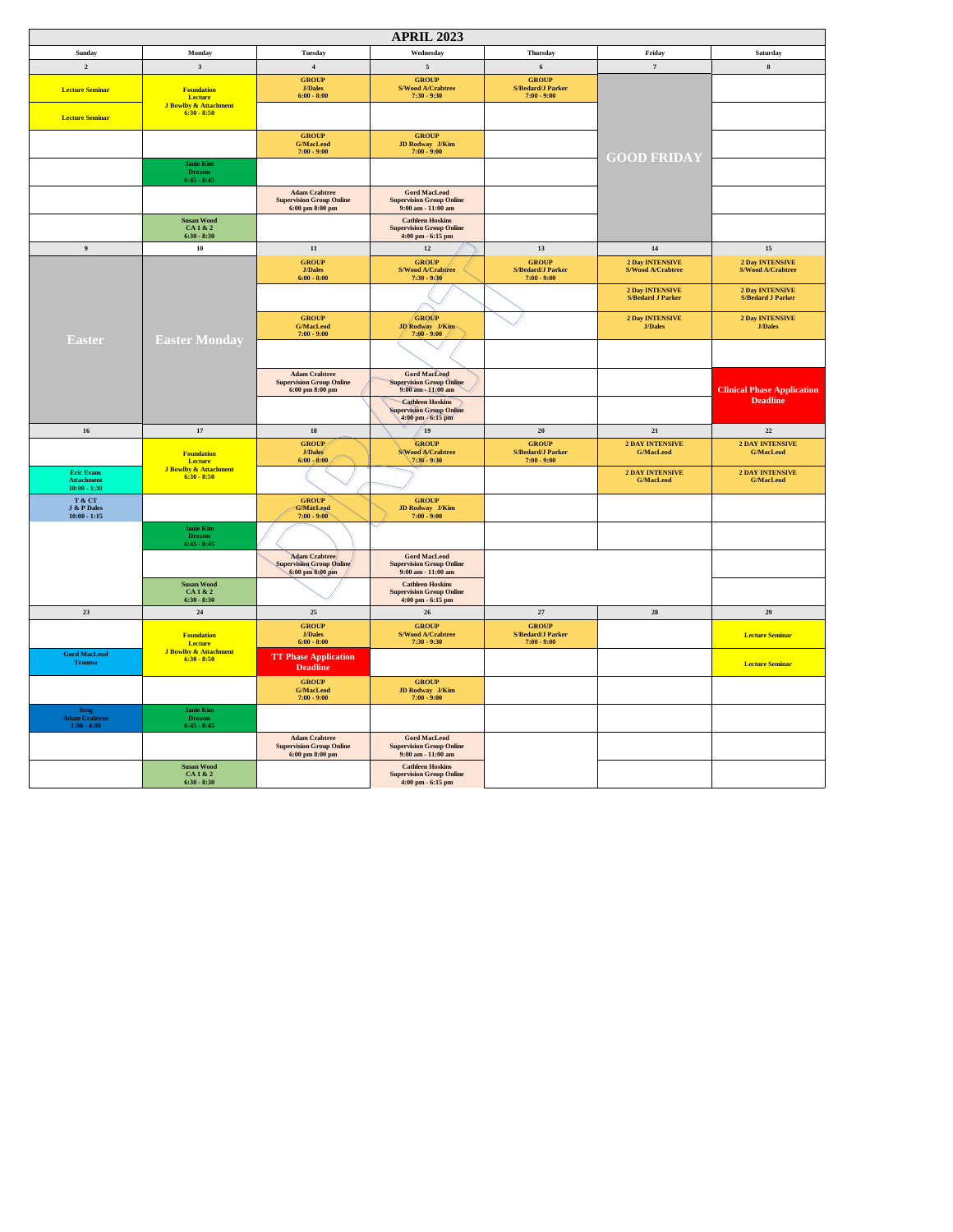| <b>APRIL 2023</b>                                                                 |                                                    |                                                                                                |                                                                                  |                                                           |                                                    |                                                    |  |
|-----------------------------------------------------------------------------------|----------------------------------------------------|------------------------------------------------------------------------------------------------|----------------------------------------------------------------------------------|-----------------------------------------------------------|----------------------------------------------------|----------------------------------------------------|--|
| Sunday                                                                            | Monday                                             | Tuesday                                                                                        | Wednesday                                                                        | <b>Thursday</b>                                           | Friday                                             | Saturday                                           |  |
| $\mathbf 2$                                                                       | $\mathbf{3}$                                       | $\bf{4}$                                                                                       | $\sqrt{5}$                                                                       | $\boldsymbol{6}$                                          | $\tau$                                             | ${\bf 8}$                                          |  |
| <b>Lecture Seminar</b>                                                            | <b>Foundation</b><br>Lecture                       | <b>GROUP</b><br><b>J/Dales</b><br>$6:00 - 8:00$                                                | <b>GROUP</b><br>S/Wood A/Crabtree<br>$7:30 - 9:30$                               | <b>GROUP</b><br><b>S/Bedard/J Parker</b><br>$7:00 - 9:00$ |                                                    |                                                    |  |
| <b>Lecture Seminar</b>                                                            | <b>J Bowlby &amp; Attachment</b><br>$6:30 - 8:50$  |                                                                                                |                                                                                  |                                                           |                                                    |                                                    |  |
|                                                                                   |                                                    | <b>GROUP</b><br><b>G/MacLeod</b><br>$7:00 - 9:00$                                              | <b>GROUP</b><br><b>JD Rodway</b> J/Kim<br>$7:00 - 9:00$                          |                                                           | <b>GOOD FRIDAY</b>                                 |                                                    |  |
|                                                                                   | <b>Janie Kim</b><br><b>Dreams</b><br>$6:45 - 8:45$ |                                                                                                |                                                                                  |                                                           |                                                    |                                                    |  |
|                                                                                   |                                                    | <b>Adam Crabtree</b><br><b>Supervision Group Online</b><br>6:00~pm~8:00~pm                     | <b>Gord MacLeod</b><br><b>Supervision Group Online</b><br>$9:00$ am - $11:00$ am |                                                           |                                                    |                                                    |  |
|                                                                                   | <b>Susan Wood</b><br>CA 1 & 2<br>$6:30 - 8:30$     |                                                                                                | <b>Cathleen Hoskins</b><br><b>Supervision Group Online</b><br>4:00 pm - 6:15 pm  |                                                           |                                                    |                                                    |  |
| $\boldsymbol{9}$                                                                  | ${\bf 10}$                                         | $11\,$                                                                                         | $12\,$                                                                           | 13                                                        | 14                                                 | $15\,$                                             |  |
|                                                                                   |                                                    | <b>GROUP</b><br><b>J/Dales</b><br>$6:00 - 8:00$                                                | <b>GROUP</b><br>S/Wood A/Crabtree<br>$7:30 - 9:30$                               | <b>GROUP</b><br><b>S/Bedard/J Parker</b><br>$7:00 - 9:00$ | 2 Day INTENSIVE<br>S/Wood A/Crabtree               | <b>2 Day INTENSIVE</b><br><b>S/Wood A/Crabtree</b> |  |
|                                                                                   |                                                    |                                                                                                |                                                                                  |                                                           | <b>2 Day INTENSIVE</b><br><b>S/Bedard J Parker</b> | <b>2 Day INTENSIVE</b><br><b>S/Bedard J Parker</b> |  |
| <b>Easter</b>                                                                     | <b>Easter Monday</b>                               | <b>GROUP</b><br><b>G/MacLeod</b><br>$7:00 - 9:00$                                              | <b>GROUP</b><br>JD Rodway J/Kim-<br>$7:00 - 9:00$                                |                                                           | 2 Day INTENSIVE<br><b>J/Dales</b>                  | 2 Day INTENSIVE<br><b>J/Dales</b>                  |  |
|                                                                                   |                                                    |                                                                                                |                                                                                  |                                                           |                                                    |                                                    |  |
|                                                                                   |                                                    | <b>Adam Crabtree</b><br><b>Supervision Group Online</b><br>6:00~pm~8:00~pm                     | <b>Gord MacLeod</b><br>spervision Group Online<br>$9:00$ am $-11:00$ am          |                                                           |                                                    | <b>Clinical Phase Application</b>                  |  |
|                                                                                   |                                                    |                                                                                                | <b>Cathleen Hoskins</b><br>Supervision Group Online<br>4:00 pm 6:15 pm           |                                                           |                                                    | <b>Deadline</b>                                    |  |
| ${\bf 16}$                                                                        | $17\,$                                             | ${\bf 18}$                                                                                     | <sup>19</sup>                                                                    | ${\bf 20}$                                                | $\bf{21}$                                          | 22                                                 |  |
|                                                                                   | <b>Foundation</b><br>Lecture                       | GROUP/<br>J/Dales<br>$6:00 - 8:00$                                                             | <b>GROUP</b><br>S/Wood A/Crabtree<br>$7:30 - 9:30$                               | <b>GROUP</b><br><b>S/Bedard/J Parker</b><br>$7:00 - 9:00$ | <b>2 DAY INTENSIVE</b><br><b>G/MacLeod</b>         | <b>2 DAY INTENSIVE</b><br><b>G/MacLeod</b>         |  |
| <b>Eric Evans</b><br><b>Attachment</b><br>$10:00 - 1:30$                          | <b>J Bowlby &amp; Attachment</b><br>$6:30 - 8:50$  |                                                                                                |                                                                                  |                                                           | <b>2 DAY INTENSIVE</b><br><b>G/MacLeod</b>         | <b>2 DAY INTENSIVE</b><br>G/MacLeod                |  |
| T & CT<br>J & P Dales<br>$10:00 - 1:15$                                           |                                                    | <b>GROUP</b><br>G/MacLeod<br>$7:00 - 9:00$                                                     | <b>GROUP</b><br><b>JD Rodway</b> J/Kim<br>$7:00 - 9:00$                          |                                                           |                                                    |                                                    |  |
|                                                                                   | <b>Janie Kim</b><br><b>Dreams</b><br>6:45 - 8:45   |                                                                                                |                                                                                  |                                                           |                                                    |                                                    |  |
|                                                                                   |                                                    | <b>Adam Crabtree</b><br>Supervision Group Online<br>6:00 pm 8:00 pm                            | <b>Gord MacLeod</b><br><b>Supervision Group Online</b><br>$9:00$ am - $11:00$ am |                                                           |                                                    |                                                    |  |
|                                                                                   | <b>Susan Wood</b><br>CA1&2<br>$6:30 - 8:30$        |                                                                                                | <b>Cathleen Hoskins</b><br><b>Supervision Group Online</b><br>4:00 pm - 6:15 pm  |                                                           |                                                    |                                                    |  |
| 23                                                                                | $\bf 24$                                           | $25\,$                                                                                         | $26\,$                                                                           | $\bf 27$                                                  | ${\bf 28}$                                         | 29                                                 |  |
|                                                                                   | <b>Foundation</b><br>Lecture                       | <b>GROUP</b><br><b>J/Dales</b><br>$6:00 - 8:00$                                                | <b>GROUP</b><br>S/Wood A/Crabtree<br>$7:30 - 9:30$                               | <b>GROUP</b><br><b>S/Bedard/J Parker</b><br>$7:00 - 9:00$ |                                                    | <b>Lecture Seminar</b>                             |  |
| <b>Gord MacLeod</b><br>Trauma                                                     | <b>J Bowlby &amp; Attachment</b><br>$6:30 - 8:50$  | <b>TT Phase Application</b><br><b>Deadline</b>                                                 |                                                                                  |                                                           |                                                    | <b>Lecture Seminar</b>                             |  |
|                                                                                   |                                                    | <b>GROUP</b><br><b>G/MacLeod</b><br>$7:00 - 9:00$                                              | <b>GROUP</b><br><b>JD Rodway</b> J/Kim<br>$7:00 - 9:00$                          |                                                           |                                                    |                                                    |  |
| $\begin{array}{c} \text{Jump} \\ \text{Adam Crabtree} \\ 1:00 - 4:00 \end{array}$ | <b>Janie Kim</b><br><b>Dreams</b><br>6:45 - 8:45   |                                                                                                |                                                                                  |                                                           |                                                    |                                                    |  |
|                                                                                   |                                                    | <b>Adam Crabtree</b><br><b>Supervision Group Online</b><br>$6:00~\mathrm{pm}~8:00~\mathrm{pm}$ | <b>Gord MacLeod</b><br><b>Supervision Group Online</b><br>$9:00$ am - $11:00$ am |                                                           |                                                    |                                                    |  |
|                                                                                   | <b>Susan Wood</b><br>CA1&2<br>$6:30 - 8:30$        |                                                                                                | <b>Cathleen Hoskins</b><br><b>Supervision Group Online</b><br>4:00 pm - 6:15 pm  |                                                           |                                                    |                                                    |  |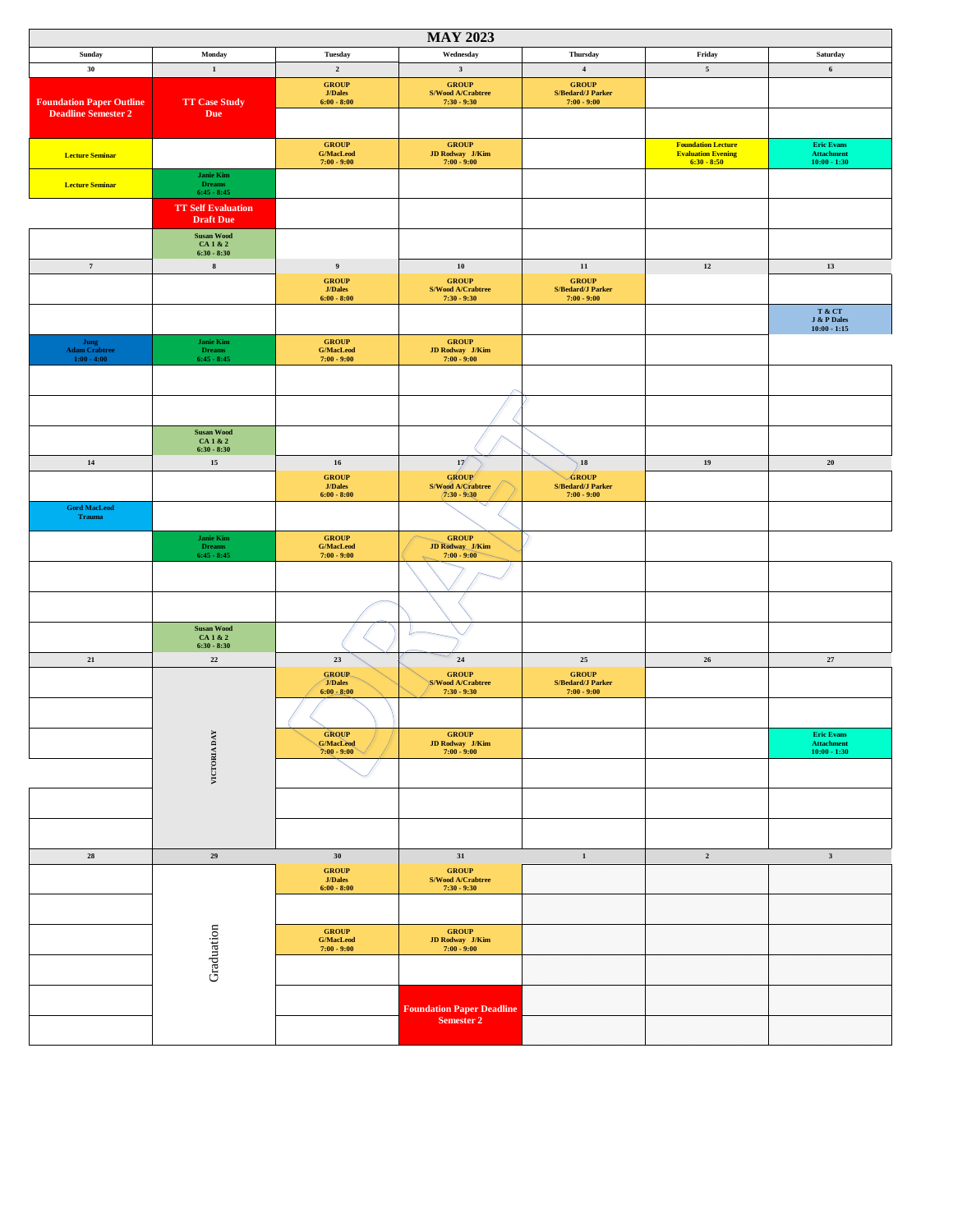| <b>MAY 2023</b>                      |                                   |                                                 |                                                                                               |                                          |                                            |                                                                  |  |  |
|--------------------------------------|-----------------------------------|-------------------------------------------------|-----------------------------------------------------------------------------------------------|------------------------------------------|--------------------------------------------|------------------------------------------------------------------|--|--|
| Sunday                               | Monday                            | Tuesday                                         | Wednesday                                                                                     | Thursday                                 | Friday                                     | Saturday                                                         |  |  |
| 30                                   | $\mathbf 1$                       | $\overline{\mathbf{2}}$                         | $\mathbf{3}$                                                                                  | $\bf{4}$                                 | $\sqrt{5}$                                 | $\bf 6$                                                          |  |  |
|                                      |                                   | <b>GROUP</b>                                    | ${\bf GROUP}$                                                                                 | ${\bf GROUP}$                            |                                            |                                                                  |  |  |
| <b>Foundation Paper Outline</b>      | <b>TT Case Study</b>              | $\mathbf{J}/\mathbf{Dales}$<br>$6:00 - 8:00$    | S/Wood A/Crabtree<br>$7:30 - 9:30$                                                            | S/Bedard/J Parker<br>$7:00 - 9:00$       |                                            |                                                                  |  |  |
| <b>Deadline Semester 2</b>           | <b>Due</b>                        |                                                 |                                                                                               |                                          |                                            |                                                                  |  |  |
|                                      |                                   |                                                 |                                                                                               |                                          |                                            |                                                                  |  |  |
|                                      |                                   | ${\bf GROUP}$                                   | ${\bf GROUP}$                                                                                 |                                          | <b>Foundation Lecture</b>                  | <b>Eric Evans</b>                                                |  |  |
| <b>Lecture Seminar</b>               |                                   | <b>G/MacLeod</b><br>$7:00 - 9:00$               | JD Rodway J/Kim<br>$7:00 - 9:00$                                                              |                                          | <b>Evaluation Evening</b><br>$6:30 - 8:50$ | <b>Attachment</b><br>$10:00 - 1:30$                              |  |  |
|                                      | Janie Kim                         |                                                 |                                                                                               |                                          |                                            |                                                                  |  |  |
| <b>Lecture Seminar</b>               | Dreams<br>6:45 - 8:45             |                                                 |                                                                                               |                                          |                                            |                                                                  |  |  |
|                                      | <b>TT Self Evaluation</b>         |                                                 |                                                                                               |                                          |                                            |                                                                  |  |  |
|                                      | <b>Draft Due</b>                  |                                                 |                                                                                               |                                          |                                            |                                                                  |  |  |
|                                      | Susan Wood<br>CA 1 & 2            |                                                 |                                                                                               |                                          |                                            |                                                                  |  |  |
|                                      | $6:30 - 8:30$                     |                                                 |                                                                                               |                                          |                                            |                                                                  |  |  |
| $\scriptstyle\rm 7$                  | $\bf8$                            | $\boldsymbol{9}$                                | ${\bf 10}$                                                                                    | ${\bf 11}$                               | $\bf{12}$                                  | 13                                                               |  |  |
|                                      |                                   | <b>GROUP</b><br><b>J/Dales</b>                  | <b>GROUP</b><br>S/Wood A/Crabtree                                                             | <b>GROUP</b><br><b>S/Bedard/J Parker</b> |                                            |                                                                  |  |  |
|                                      |                                   | $6:00 - 8:00$                                   | $7:30 - 9:30$                                                                                 | $7:00 - 9:00$                            |                                            |                                                                  |  |  |
|                                      |                                   |                                                 |                                                                                               |                                          |                                            | T & CT<br>$\bf J$ & $\bf P$ Dales                                |  |  |
|                                      |                                   |                                                 |                                                                                               |                                          |                                            | $10:00 - 1:15$                                                   |  |  |
| Jung<br><b>Adam Crabtree</b>         | <b>Janie Kim</b><br><b>Dreams</b> | <b>GROUP</b><br>$\mathbf{G}/\mathbf{MacLocal}$  | <b>GROUP</b><br>JD Rodway J/Kim                                                               |                                          |                                            |                                                                  |  |  |
| $1:00 - 4:00$                        | $6:45 - 8:45$                     | $7:00 - 9:00$                                   | $7:00 - 9:00$                                                                                 |                                          |                                            |                                                                  |  |  |
|                                      |                                   |                                                 |                                                                                               |                                          |                                            |                                                                  |  |  |
|                                      |                                   |                                                 |                                                                                               |                                          |                                            |                                                                  |  |  |
|                                      |                                   |                                                 |                                                                                               |                                          |                                            |                                                                  |  |  |
|                                      |                                   |                                                 |                                                                                               |                                          |                                            |                                                                  |  |  |
|                                      | <b>Susan Wood</b><br>CA 1 & 2     |                                                 |                                                                                               |                                          |                                            |                                                                  |  |  |
|                                      | $6:30 - 8:30$                     |                                                 |                                                                                               |                                          |                                            |                                                                  |  |  |
| $14$                                 | 15                                | 16                                              | 17                                                                                            | 18                                       | 19                                         | $20\,$                                                           |  |  |
|                                      |                                   | <b>GROUP</b><br><b>J/Dales</b>                  | GROUP<br>S/Wood A/Crabtree                                                                    | <b>GROUP</b><br><b>S/Bedard/J Parker</b> |                                            |                                                                  |  |  |
|                                      |                                   | $6:00 - 8:00$                                   | $(7:30 - 9:30)$                                                                               | $7:00 - 9:00$                            |                                            |                                                                  |  |  |
| <b>Gord MacLeod</b><br><b>Trauma</b> |                                   |                                                 |                                                                                               |                                          |                                            |                                                                  |  |  |
|                                      |                                   |                                                 |                                                                                               |                                          |                                            |                                                                  |  |  |
|                                      | Janie Kim<br><b>Dreams</b>        | <b>GROUP</b><br><b>G/MacLeod</b>                | <b>GROUP</b><br><b>JD Rodway J/Kim</b><br>7:00 - 9:00                                         |                                          |                                            |                                                                  |  |  |
|                                      | $6:45 - 8:45$                     | $7:00 - 9:00$                                   |                                                                                               |                                          |                                            |                                                                  |  |  |
|                                      |                                   |                                                 |                                                                                               |                                          |                                            |                                                                  |  |  |
|                                      |                                   |                                                 |                                                                                               |                                          |                                            |                                                                  |  |  |
|                                      |                                   |                                                 |                                                                                               |                                          |                                            |                                                                  |  |  |
|                                      |                                   |                                                 |                                                                                               |                                          |                                            |                                                                  |  |  |
|                                      | <b>Susan Wood</b><br>CA 1 & 2     |                                                 |                                                                                               |                                          |                                            |                                                                  |  |  |
| 21                                   | $6:30 - 8:30$<br>$\bf 22$         | 23                                              | $\bf{24}$                                                                                     | $25\,$                                   | $26\phantom{.}$                            | $27\,$                                                           |  |  |
|                                      |                                   | <b>GROUP</b>                                    | ${\bf GROUP}$                                                                                 | <b>GROUP</b>                             |                                            |                                                                  |  |  |
|                                      |                                   | <b>J/Dales</b>                                  | <b>S/Wood A/Crabtree</b>                                                                      | <b>S/Bedard/J Parker</b>                 |                                            |                                                                  |  |  |
|                                      |                                   | $6:00 - 8:00$                                   | $7:30 - 9:30$                                                                                 | $7:00 - 9:00$                            |                                            |                                                                  |  |  |
|                                      |                                   |                                                 |                                                                                               |                                          |                                            |                                                                  |  |  |
|                                      |                                   | <b>GROUP</b>                                    | ${\bf GROUP}$                                                                                 |                                          |                                            | <b>Eric Evans</b>                                                |  |  |
|                                      |                                   | G/MacLeed<br>7:00 - 9:00                        | $\begin{array}{rl} \textbf{JD Rodway} & \textbf{J/Kim} \\ \textbf{7:00 - 9:00} & \end{array}$ |                                          |                                            | $\begin{array}{c} \text{Attachment} \\ 10:00 - 1:30 \end{array}$ |  |  |
|                                      | VICTORIA DAY                      |                                                 |                                                                                               |                                          |                                            |                                                                  |  |  |
|                                      |                                   |                                                 |                                                                                               |                                          |                                            |                                                                  |  |  |
|                                      |                                   |                                                 |                                                                                               |                                          |                                            |                                                                  |  |  |
|                                      |                                   |                                                 |                                                                                               |                                          |                                            |                                                                  |  |  |
|                                      |                                   |                                                 |                                                                                               |                                          |                                            |                                                                  |  |  |
|                                      |                                   |                                                 |                                                                                               |                                          |                                            |                                                                  |  |  |
| ${\bf 28}$                           | $\bf 29$                          | 30                                              | $31\,$                                                                                        | $\mathbf 1$                              | $\,$ 2 $\,$                                | $\mathbf 3$                                                      |  |  |
|                                      |                                   | <b>GROUP</b>                                    | ${\bf GROUP}$                                                                                 |                                          |                                            |                                                                  |  |  |
|                                      |                                   | $\mathbf{J}/\mathbf{Dales}$<br>$6:00 - 8:00$    | $\ensuremath{\mathrm{S}}/\ensuremath{\mathbf{Wood}}$ A/Crabtree<br>$7:30 - 9:30$              |                                          |                                            |                                                                  |  |  |
|                                      |                                   |                                                 |                                                                                               |                                          |                                            |                                                                  |  |  |
|                                      |                                   |                                                 |                                                                                               |                                          |                                            |                                                                  |  |  |
|                                      |                                   | <b>GROUP</b>                                    | ${\bf GROUP}$                                                                                 |                                          |                                            |                                                                  |  |  |
|                                      |                                   | $\mathbf{G}/\mathbf{MacLocal}$<br>$7:00 - 9:00$ | JD Rodway $J/Kim$<br>7:00 - 9:00                                                              |                                          |                                            |                                                                  |  |  |
|                                      | Graduation                        |                                                 |                                                                                               |                                          |                                            |                                                                  |  |  |
|                                      |                                   |                                                 |                                                                                               |                                          |                                            |                                                                  |  |  |
|                                      |                                   |                                                 |                                                                                               |                                          |                                            |                                                                  |  |  |
|                                      |                                   |                                                 | <b>Foundation Paper Deadline</b>                                                              |                                          |                                            |                                                                  |  |  |
|                                      |                                   |                                                 | <b>Semester 2</b>                                                                             |                                          |                                            |                                                                  |  |  |
|                                      |                                   |                                                 |                                                                                               |                                          |                                            |                                                                  |  |  |